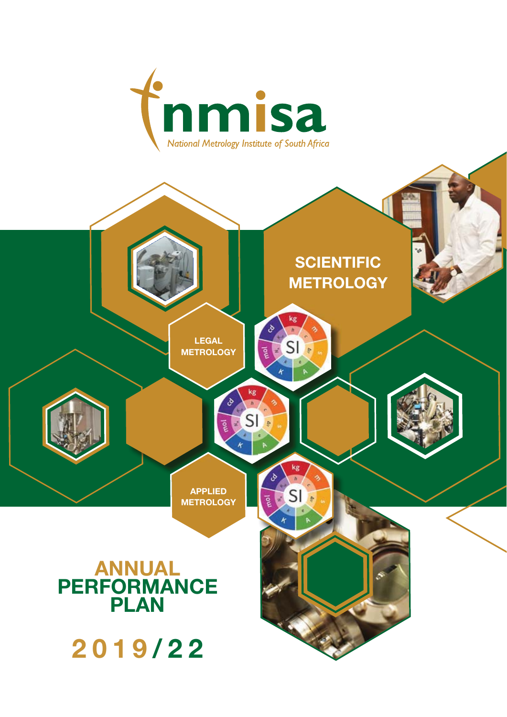

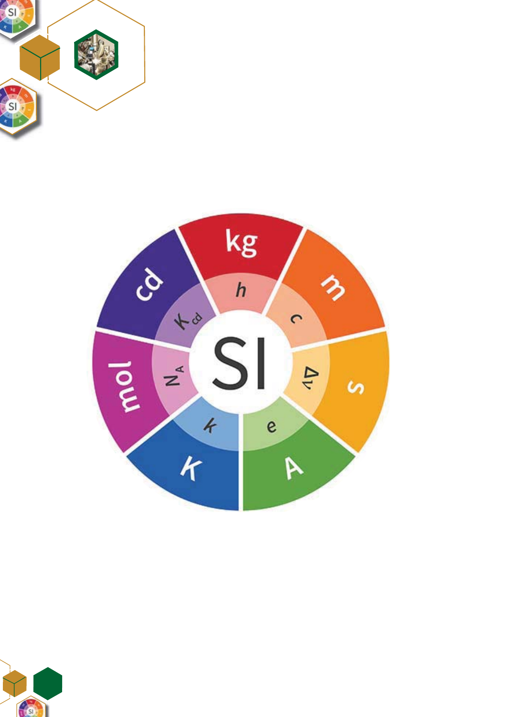



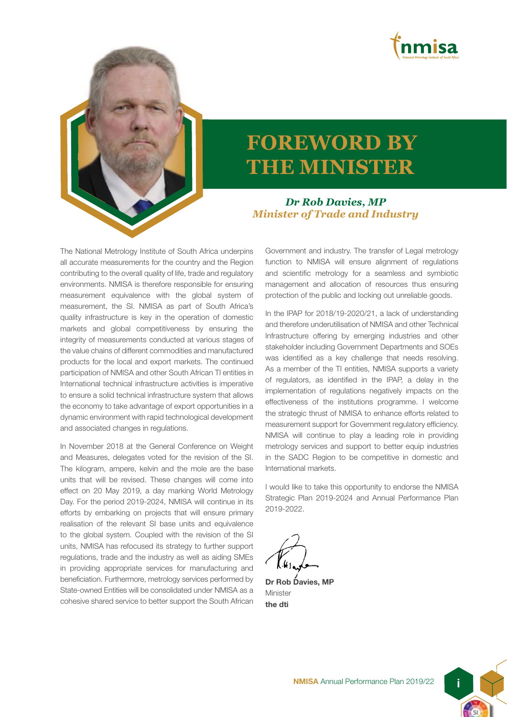



## **FOREWORD BY THE MINISTER**

### *Dr Rob Davies, MP Minister of Trade and Industry*

The National Metrology Institute of South Africa underpins all accurate measurements for the country and the Region contributing to the overall quality of life, trade and regulatory environments. NMISA is therefore responsible for ensuring measurement equivalence with the global system of measurement, the SI. NMISA as part of South Africa's quality infrastructure is key in the operation of domestic markets and global competitiveness by ensuring the integrity of measurements conducted at various stages of the value chains of different commodities and manufactured products for the local and export markets. The continued participation of NMISA and other South African TI entities in International technical infrastructure activities is imperative to ensure a solid technical infrastructure system that allows the economy to take advantage of export opportunities in a dynamic environment with rapid technological development and associated changes in regulations.

In November 2018 at the General Conference on Weight and Measures, delegates voted for the revision of the SI. The kilogram, ampere, kelvin and the mole are the base units that will be revised. These changes will come into effect on 20 May 2019, a day marking World Metrology Day. For the period 2019-2024, NMISA will continue in its efforts by embarking on projects that will ensure primary realisation of the relevant SI base units and equivalence to the global system. Coupled with the revision of the SI units, NMISA has refocused its strategy to further support regulations, trade and the industry as well as aiding SMEs in providing appropriate services for manufacturing and beneficiation. Furthermore, metrology services performed by State-owned Entities will be consolidated under NMISA as a cohesive shared service to better support the South African

Government and industry. The transfer of Legal metrology function to NMISA will ensure alignment of regulations and scientific metrology for a seamless and symbiotic management and allocation of resources thus ensuring protection of the public and locking out unreliable goods.

In the IPAP for 2018/19-2020/21, a lack of understanding and therefore underutilisation of NMISA and other Technical Infrastructure offering by emerging industries and other stakeholder including Government Departments and SOEs was identified as a key challenge that needs resolving. As a member of the TI entities, NMISA supports a variety of regulators, as identified in the IPAP, a delay in the implementation of regulations negatively impacts on the effectiveness of the institutions programme. I welcome the strategic thrust of NMISA to enhance efforts related to measurement support for Government regulatory efficiency. NMISA will continue to play a leading role in providing metrology services and support to better equip industries in the SADC Region to be competitive in domestic and International markets.

I would like to take this opportunity to endorse the NMISA Strategic Plan 2019-2024 and Annual Performance Plan 2019-2022.

Dr Rob Davies, MP Minister the dti

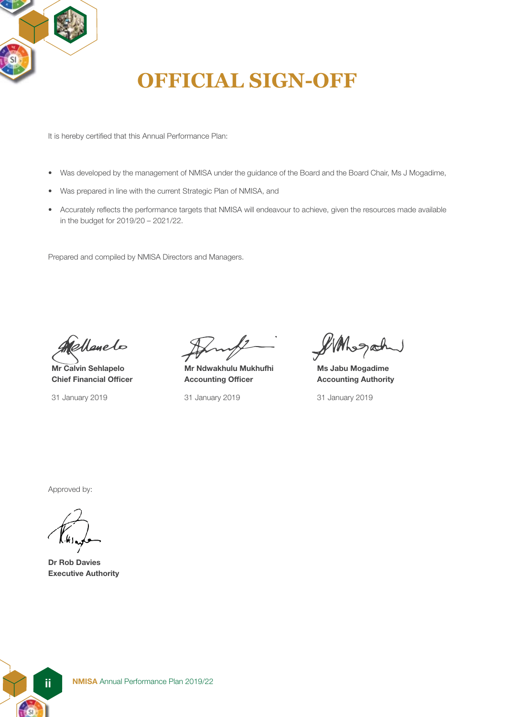

## **OFFICIAL SIGN-OFF**

It is hereby certified that this Annual Performance Plan:

- Was developed by the management of NMISA under the guidance of the Board and the Board Chair, Ms J Mogadime,
- Was prepared in line with the current Strategic Plan of NMISA, and
- Accurately reflects the performance targets that NMISA will endeavour to achieve, given the resources made available in the budget for 2019/20 – 2021/22.

Prepared and compiled by NMISA Directors and Managers.

lanelo

Mr Calvin Sehlapelo Chief Financial Officer

31 January 2019

Mr Ndwakhulu Mukhufhi Accounting Officer

31 January 2019

Ms Jabu Mogadime Accounting Authority

31 January 2019

Approved by:

Dr Rob Davies Executive Authority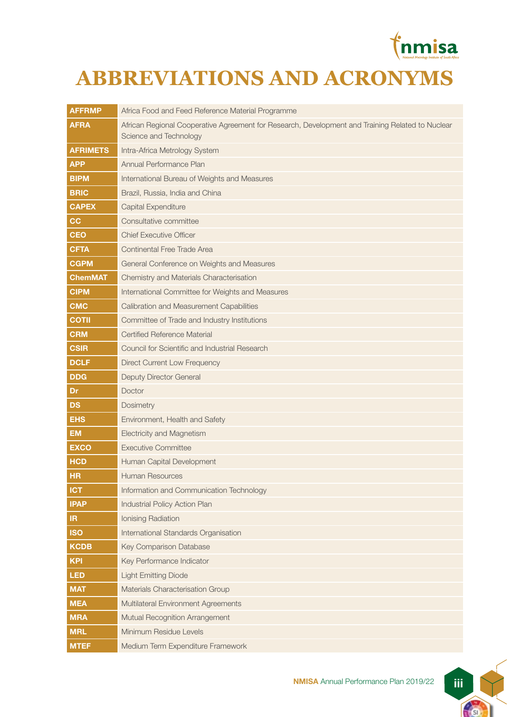

# **ABBREVIATIONS AND ACRONYMS**

| <b>AFFRMP</b>   | Africa Food and Feed Reference Material Programme                                                                          |
|-----------------|----------------------------------------------------------------------------------------------------------------------------|
| <b>AFRA</b>     | African Regional Cooperative Agreement for Research, Development and Training Related to Nuclear<br>Science and Technology |
| <b>AFRIMETS</b> | Intra-Africa Metrology System                                                                                              |
| <b>APP</b>      | Annual Performance Plan                                                                                                    |
| <b>BIPM</b>     | International Bureau of Weights and Measures                                                                               |
| <b>BRIC</b>     | Brazil, Russia, India and China                                                                                            |
| <b>CAPEX</b>    | Capital Expenditure                                                                                                        |
| $\overline{cc}$ | Consultative committee                                                                                                     |
| <b>CEO</b>      | <b>Chief Executive Officer</b>                                                                                             |
| <b>CFTA</b>     | Continental Free Trade Area                                                                                                |
| <b>CGPM</b>     | General Conference on Weights and Measures                                                                                 |
| <b>ChemMAT</b>  | Chemistry and Materials Characterisation                                                                                   |
| <b>CIPM</b>     | International Committee for Weights and Measures                                                                           |
| <b>CMC</b>      | Calibration and Measurement Capabilities                                                                                   |
| <b>COTII</b>    | Committee of Trade and Industry Institutions                                                                               |
| <b>CRM</b>      | <b>Certified Reference Material</b>                                                                                        |
| <b>CSIR</b>     | Council for Scientific and Industrial Research                                                                             |
| <b>DCLF</b>     | <b>Direct Current Low Frequency</b>                                                                                        |
| <b>DDG</b>      | <b>Deputy Director General</b>                                                                                             |
| Dr              | Doctor                                                                                                                     |
| <b>DS</b>       | Dosimetry                                                                                                                  |
| <b>EHS</b>      | Environment, Health and Safety                                                                                             |
| <b>EM</b>       | <b>Electricity and Magnetism</b>                                                                                           |
| <b>EXCO</b>     | <b>Executive Committee</b>                                                                                                 |
| <b>HCD</b>      | Human Capital Development                                                                                                  |
| <b>HR</b>       | <b>Human Resources</b>                                                                                                     |
| <b>ICT</b>      | Information and Communication Technology                                                                                   |
| <b>IPAP</b>     | Industrial Policy Action Plan                                                                                              |
| IR              | Ionising Radiation                                                                                                         |
| <b>ISO</b>      | International Standards Organisation                                                                                       |
| <b>KCDB</b>     | Key Comparison Database                                                                                                    |
| <b>KPI</b>      | Key Performance Indicator                                                                                                  |
| <b>LED</b>      | <b>Light Emitting Diode</b>                                                                                                |
| <b>MAT</b>      | Materials Characterisation Group                                                                                           |
| <b>MEA</b>      | Multilateral Environment Agreements                                                                                        |
| <b>MRA</b>      | Mutual Recognition Arrangement                                                                                             |
| <b>MRL</b>      | Minimum Residue Levels                                                                                                     |
| <b>MTEF</b>     | Medium Term Expenditure Framework                                                                                          |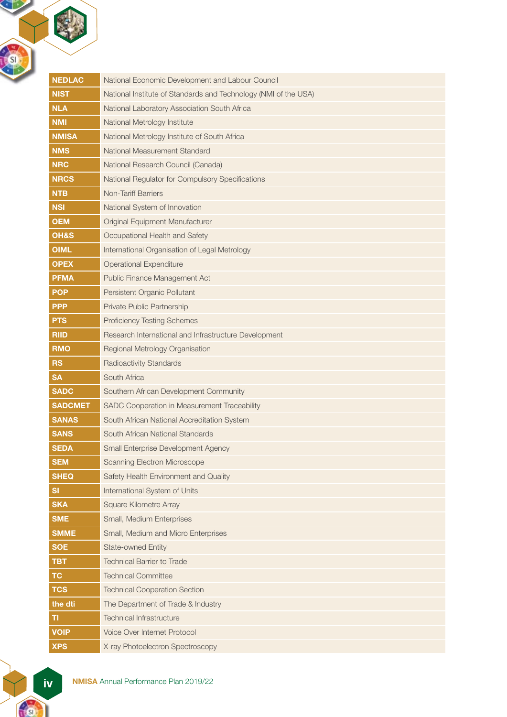| <b>NEDLAC</b>  | National Economic Development and Labour Council                |
|----------------|-----------------------------------------------------------------|
| <b>NIST</b>    | National Institute of Standards and Technology (NMI of the USA) |
| <b>NLA</b>     | National Laboratory Association South Africa                    |
| <b>NMI</b>     | National Metrology Institute                                    |
| <b>NMISA</b>   | National Metrology Institute of South Africa                    |
| <b>NMS</b>     | National Measurement Standard                                   |
| <b>NRC</b>     | National Research Council (Canada)                              |
| <b>NRCS</b>    | National Regulator for Compulsory Specifications                |
| <b>NTB</b>     | <b>Non-Tariff Barriers</b>                                      |
| <b>NSI</b>     | National System of Innovation                                   |
| <b>OEM</b>     | Original Equipment Manufacturer                                 |
| OH&S           | Occupational Health and Safety                                  |
| <b>OIML</b>    | International Organisation of Legal Metrology                   |
| <b>OPEX</b>    | <b>Operational Expenditure</b>                                  |
| <b>PFMA</b>    | Public Finance Management Act                                   |
| <b>POP</b>     | Persistent Organic Pollutant                                    |
| <b>PPP</b>     | Private Public Partnership                                      |
| <b>PTS</b>     | <b>Proficiency Testing Schemes</b>                              |
| <b>RIID</b>    | Research International and Infrastructure Development           |
| <b>RMO</b>     | Regional Metrology Organisation                                 |
| <b>RS</b>      | Radioactivity Standards                                         |
| <b>SA</b>      | South Africa                                                    |
| <b>SADC</b>    | Southern African Development Community                          |
| <b>SADCMET</b> | SADC Cooperation in Measurement Traceability                    |
| <b>SANAS</b>   | South African National Accreditation System                     |
| <b>SANS</b>    | South African National Standards                                |
| <b>SEDA</b>    | Small Enterprise Development Agency                             |
| <b>SEM</b>     | <b>Scanning Electron Microscope</b>                             |
| <b>SHEQ</b>    | Safety Health Environment and Quality                           |
| SI             | International System of Units                                   |
| <b>SKA</b>     | <b>Square Kilometre Array</b>                                   |
| <b>SME</b>     | Small, Medium Enterprises                                       |
| <b>SMME</b>    | Small, Medium and Micro Enterprises                             |
| <b>SOE</b>     | <b>State-owned Entity</b>                                       |
| <b>TBT</b>     | <b>Technical Barrier to Trade</b>                               |
| <b>TC</b>      | <b>Technical Committee</b>                                      |
| <b>TCS</b>     | <b>Technical Cooperation Section</b>                            |
| the dti        | The Department of Trade & Industry                              |
| TI             | <b>Technical Infrastructure</b>                                 |
| <b>VOIP</b>    | Voice Over Internet Protocol                                    |
| <b>XPS</b>     | X-ray Photoelectron Spectroscopy                                |

G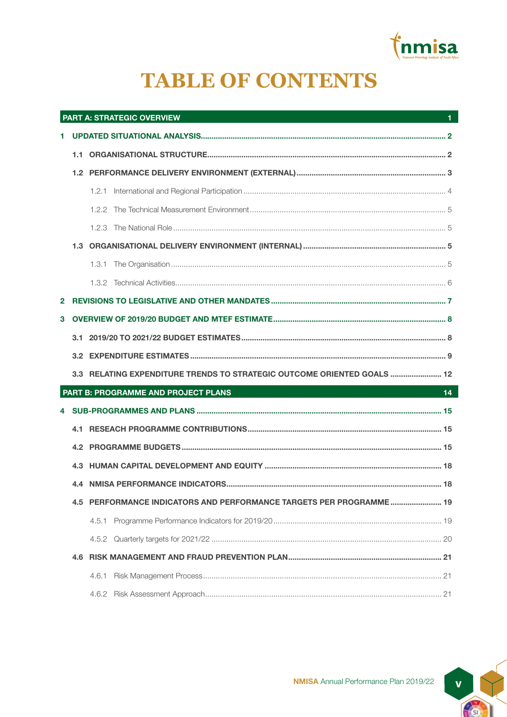

## **TABLE OF CONTENTS**

|              |     | <b>PART A: STRATEGIC OVERVIEW</b>                                   |                 |
|--------------|-----|---------------------------------------------------------------------|-----------------|
| 1            |     |                                                                     |                 |
|              | 1.1 |                                                                     |                 |
|              |     |                                                                     |                 |
|              |     | 1.2.1                                                               |                 |
|              |     | 1.2.2                                                               |                 |
|              |     |                                                                     |                 |
|              | 1.3 |                                                                     |                 |
|              |     |                                                                     |                 |
|              |     |                                                                     |                 |
| $\mathbf{2}$ |     |                                                                     |                 |
| 3            |     |                                                                     |                 |
|              | 3.1 |                                                                     |                 |
|              |     |                                                                     |                 |
|              |     | RELATING EXPENDITURE TRENDS TO STRATEGIC OUTCOME ORIENTED GOALS  12 |                 |
|              |     | PART B: PROGRAMME AND PROJECT PLANS                                 | 14 <sup>1</sup> |
|              |     |                                                                     |                 |
|              | 4.1 |                                                                     |                 |
|              | 4.2 |                                                                     |                 |
|              |     |                                                                     |                 |
|              |     |                                                                     |                 |
|              |     | 4.5 PERFORMANCE INDICATORS AND PERFORMANCE TARGETS PER PROGRAMME 19 |                 |
|              |     | 4.5.1                                                               |                 |
|              |     | 4.5.2                                                               |                 |
|              | 4.6 |                                                                     |                 |
|              |     | 4.6.1                                                               |                 |
|              |     | 4.6.2                                                               |                 |



 $\mathbf{v}$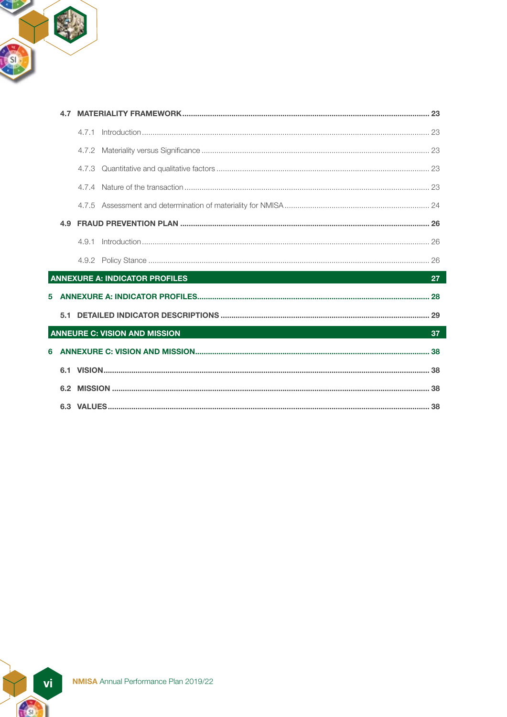

|    | 4.7.3 |                                                                                                                                                             |    |
|----|-------|-------------------------------------------------------------------------------------------------------------------------------------------------------------|----|
|    | 4.7.4 |                                                                                                                                                             |    |
|    |       |                                                                                                                                                             |    |
| 49 |       |                                                                                                                                                             |    |
|    | 491   |                                                                                                                                                             |    |
|    |       |                                                                                                                                                             |    |
|    |       | <b>ANNEXURE A: INDICATOR PROFILES</b>                                                                                                                       | 27 |
|    |       |                                                                                                                                                             |    |
|    |       |                                                                                                                                                             |    |
|    |       | a de la construcción de la construcción de la construcción de la construcción de la construcción de la construcción<br><b>ANNEURE C: VISION AND MISSION</b> | 37 |
|    |       |                                                                                                                                                             |    |
|    |       |                                                                                                                                                             |    |
|    |       |                                                                                                                                                             |    |
|    |       |                                                                                                                                                             |    |

 $\frac{1}{2}$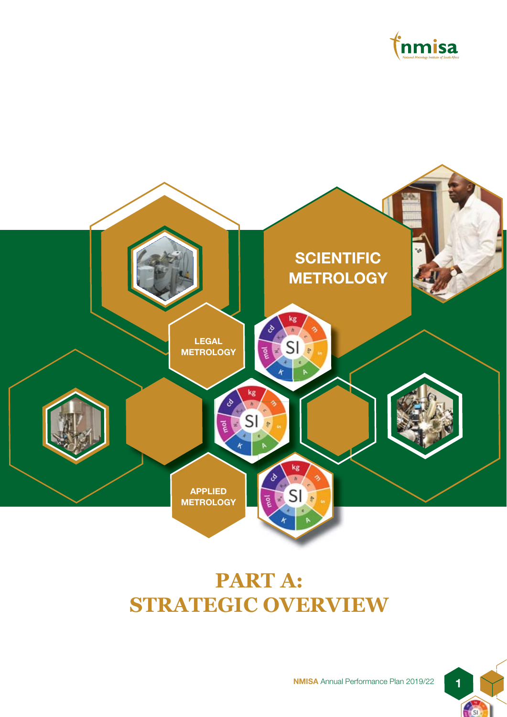



## **PART A: STRATEGIC OVERVIEW**

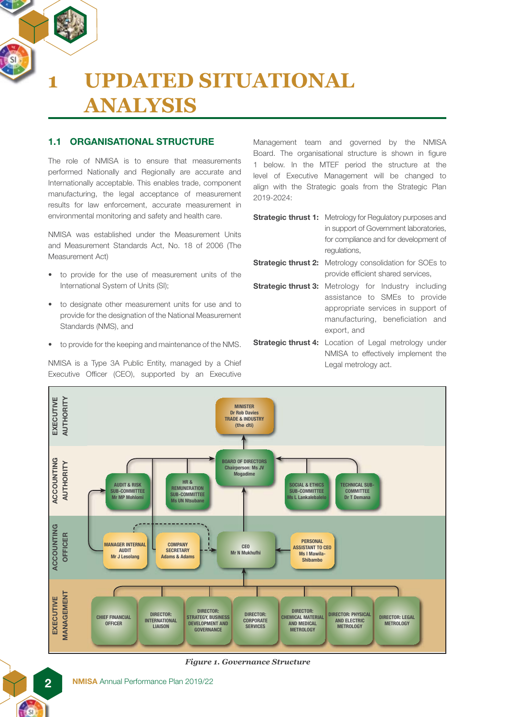## **1 UPDATED SITUATIONAL ANALYSIS**

#### 1.1 ORGANISATIONAL STRUCTURE

Œ

The role of NMISA is to ensure that measurements performed Nationally and Regionally are accurate and Internationally acceptable. This enables trade, component manufacturing, the legal acceptance of measurement results for law enforcement, accurate measurement in environmental monitoring and safety and health care.

NMISA was established under the Measurement Units and Measurement Standards Act, No. 18 of 2006 (The Measurement Act)

- to provide for the use of measurement units of the International System of Units (SI);
- to designate other measurement units for use and to provide for the designation of the National Measurement Standards (NMS), and
- to provide for the keeping and maintenance of the NMS.

NMISA is a Type 3A Public Entity, managed by a Chief Executive Officer (CEO), supported by an Executive Management team and governed by the NMISA Board. The organisational structure is shown in figure 1 below. In the MTEF period the structure at the level of Executive Management will be changed to align with the Strategic goals from the Strategic Plan 2019-2024:

**Strategic thrust 1:** Metrology for Regulatory purposes and in support of Government laboratories, for compliance and for development of regulations,

**Strategic thrust 2:** Metrology consolidation for SOEs to provide efficient shared services,

**Strategic thrust 3:** Metrology for Industry including assistance to SMEs to provide appropriate services in support of manufacturing, beneficiation and export, and

Strategic thrust 4: Location of Legal metrology under NMISA to effectively implement the Legal metrology act.



 *Figure 1. Governance Structure*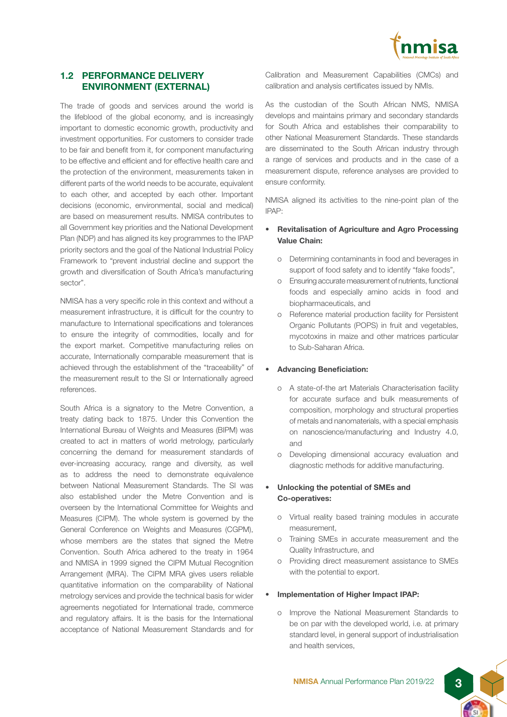

#### 1.2 PERFORMANCE DELIVERY ENVIRONMENT (EXTERNAL)

The trade of goods and services around the world is the lifeblood of the global economy, and is increasingly important to domestic economic growth, productivity and investment opportunities. For customers to consider trade to be fair and benefit from it, for component manufacturing to be effective and efficient and for effective health care and the protection of the environment, measurements taken in different parts of the world needs to be accurate, equivalent to each other, and accepted by each other. Important decisions (economic, environmental, social and medical) are based on measurement results. NMISA contributes to all Government key priorities and the National Development Plan (NDP) and has aligned its key programmes to the IPAP priority sectors and the goal of the National Industrial Policy Framework to "prevent industrial decline and support the growth and diversification of South Africa's manufacturing sector".

NMISA has a very specific role in this context and without a measurement infrastructure, it is difficult for the country to manufacture to International specifications and tolerances to ensure the integrity of commodities, locally and for the export market. Competitive manufacturing relies on accurate, Internationally comparable measurement that is achieved through the establishment of the "traceability" of the measurement result to the SI or Internationally agreed references.

South Africa is a signatory to the Metre Convention, a treaty dating back to 1875. Under this Convention the International Bureau of Weights and Measures (BIPM) was created to act in matters of world metrology, particularly concerning the demand for measurement standards of ever-increasing accuracy, range and diversity, as well as to address the need to demonstrate equivalence between National Measurement Standards. The SI was also established under the Metre Convention and is overseen by the International Committee for Weights and Measures (CIPM). The whole system is governed by the General Conference on Weights and Measures (CGPM), whose members are the states that signed the Metre Convention. South Africa adhered to the treaty in 1964 and NMISA in 1999 signed the CIPM Mutual Recognition Arrangement (MRA). The CIPM MRA gives users reliable quantitative information on the comparability of National metrology services and provide the technical basis for wider agreements negotiated for International trade, commerce and regulatory affairs. It is the basis for the International acceptance of National Measurement Standards and for

Calibration and Measurement Capabilities (CMCs) and calibration and analysis certificates issued by NMIs.

As the custodian of the South African NMS, NMISA develops and maintains primary and secondary standards for South Africa and establishes their comparability to other National Measurement Standards. These standards are disseminated to the South African industry through a range of services and products and in the case of a measurement dispute, reference analyses are provided to ensure conformity.

NMISA aligned its activities to the nine-point plan of the IPAP:

#### • Revitalisation of Agriculture and Agro Processing Value Chain:

- o Determining contaminants in food and beverages in support of food safety and to identify "fake foods",
- o Ensuring accurate measurement of nutrients, functional foods and especially amino acids in food and biopharmaceuticals, and
- o Reference material production facility for Persistent Organic Pollutants (POPS) in fruit and vegetables, mycotoxins in maize and other matrices particular to Sub-Saharan Africa.

#### • Advancing Beneficiation:

- o A state-of-the art Materials Characterisation facility for accurate surface and bulk measurements of composition, morphology and structural properties of metals and nanomaterials, with a special emphasis on nanoscience/manufacturing and Industry 4.0, and
- o Developing dimensional accuracy evaluation and diagnostic methods for additive manufacturing.

#### Unlocking the potential of SMEs and Co-operatives:

- o Virtual reality based training modules in accurate measurement,
- o Training SMEs in accurate measurement and the Quality Infrastructure, and
- Providing direct measurement assistance to SMEs with the potential to export.

#### • Implementation of Higher Impact IPAP:

o Improve the National Measurement Standards to be on par with the developed world, i.e. at primary standard level, in general support of industrialisation and health services,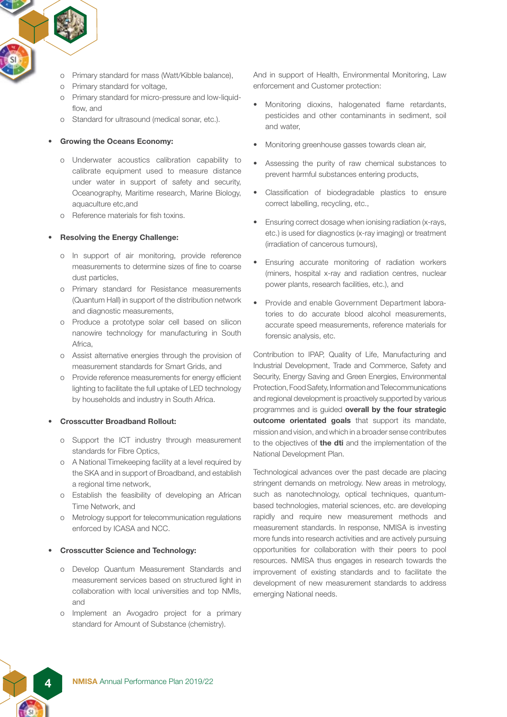- o Primary standard for mass (Watt/Kibble balance),
- o Primary standard for voltage,
- o Primary standard for micro-pressure and low-liquidflow, and
- o Standard for ultrasound (medical sonar, etc.).

#### • Growing the Oceans Economy:

- o Underwater acoustics calibration capability to calibrate equipment used to measure distance under water in support of safety and security, Oceanography, Maritime research, Marine Biology, aquaculture etc,and
- o Reference materials for fish toxins.

#### • Resolving the Energy Challenge:

- o In support of air monitoring, provide reference measurements to determine sizes of fine to coarse dust particles,
- o Primary standard for Resistance measurements (Quantum Hall) in support of the distribution network and diagnostic measurements,
- o Produce a prototype solar cell based on silicon nanowire technology for manufacturing in South Africa,
- o Assist alternative energies through the provision of measurement standards for Smart Grids, and
- o Provide reference measurements for energy efficient lighting to facilitate the full uptake of LED technology by households and industry in South Africa.

#### • Crosscutter Broadband Rollout:

- o Support the ICT industry through measurement standards for Fibre Optics,
- o A National Timekeeping facility at a level required by the SKA and in support of Broadband, and establish a regional time network,
- o Establish the feasibility of developing an African Time Network, and
- o Metrology support for telecommunication regulations enforced by ICASA and NCC.

#### • Crosscutter Science and Technology:

- o Develop Quantum Measurement Standards and measurement services based on structured light in collaboration with local universities and top NMIs, and
- o Implement an Avogadro project for a primary standard for Amount of Substance (chemistry).

And in support of Health, Environmental Monitoring, Law enforcement and Customer protection:

- Monitoring dioxins, halogenated flame retardants, pesticides and other contaminants in sediment, soil and water,
- Monitoring greenhouse gasses towards clean air,
- Assessing the purity of raw chemical substances to prevent harmful substances entering products,
- Classification of biodegradable plastics to ensure correct labelling, recycling, etc.,
- Ensuring correct dosage when ionising radiation (x-rays, etc.) is used for diagnostics (x-ray imaging) or treatment (irradiation of cancerous tumours),
- Ensuring accurate monitoring of radiation workers (miners, hospital x-ray and radiation centres, nuclear power plants, research facilities, etc.), and
- Provide and enable Government Department laboratories to do accurate blood alcohol measurements, accurate speed measurements, reference materials for forensic analysis, etc.

Contribution to IPAP, Quality of Life, Manufacturing and Industrial Development, Trade and Commerce, Safety and Security, Energy Saving and Green Energies, Environmental Protection, Food Safety, Information and Telecommunications and regional development is proactively supported by various programmes and is guided overall by the four strategic outcome orientated goals that support its mandate, mission and vision, and which in a broader sense contributes to the objectives of the dti and the implementation of the National Development Plan.

Technological advances over the past decade are placing stringent demands on metrology. New areas in metrology, such as nanotechnology, optical techniques, quantumbased technologies, material sciences, etc. are developing rapidly and require new measurement methods and measurement standards. In response, NMISA is investing more funds into research activities and are actively pursuing opportunities for collaboration with their peers to pool resources. NMISA thus engages in research towards the improvement of existing standards and to facilitate the development of new measurement standards to address emerging National needs.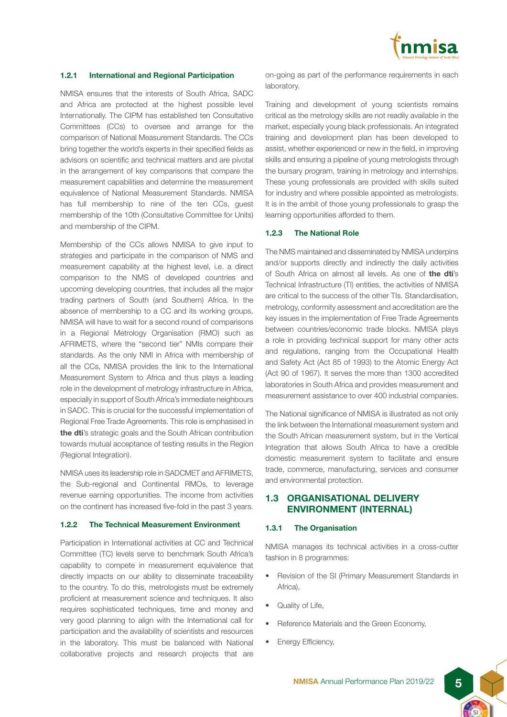

#### 1.2.1 International and Regional Participation

NMISA ensures that the interests of South Africa, SADC and Africa are protected at the highest possible level Internationally. The CIPM has established ten Consultative Committees (CCs) to oversee and arrange for the comparison of National Measurement Standards. The CCs bring together the world's experts in their specified fields as advisors on scientific and technical matters and are pivotal in the arrangement of key comparisons that compare the measurement capabilities and determine the measurement equivalence of National Measurement Standards. NMISA has full membership to nine of the ten CCs, guest membership of the 10th (Consultative Committee for Units) and membership of the CIPM.

Membership of the CCs allows NMISA to give input to strategies and participate in the comparison of NMS and measurement capability at the highest level, i.e. a direct comparison to the NMS of developed countries and upcoming developing countries, that includes all the major trading partners of South (and Southern) Africa. In the absence of membership to a CC and its working groups, NMISA will have to wait for a second round of comparisons in a Regional Metrology Organisation (RMO) such as AFRIMETS, where the "second tier" NMIs compare their standards. As the only NMI in Africa with membership of all the CCs, NMISA provides the link to the International Measurement System to Africa and thus plays a leading role in the development of metrology infrastructure in Africa, especially in support of South Africa's immediate neighbours in SADC. This is crucial for the successful implementation of Regional Free Trade Agreements. This role is emphasised in the dti's strategic goals and the South African contribution towards mutual acceptance of testing results in the Region (Regional Integration).

NMISA uses its leadership role in SADCMET and AFRIMETS, the Sub-regional and Continental RMOs, to leverage revenue earning opportunities. The income from activities on the continent has increased five-fold in the past 3 years.

#### 1.2.2 The Technical Measurement Environment

Participation in International activities at CC and Technical Committee (TC) levels serve to benchmark South Africa's capability to compete in measurement equivalence that directly impacts on our ability to disseminate traceability to the country. To do this, metrologists must be extremely proficient at measurement science and techniques. It also requires sophisticated techniques, time and money and very good planning to align with the International call for participation and the availability of scientists and resources in the laboratory. This must be balanced with National collaborative projects and research projects that are

on-going as part of the performance requirements in each laboratory.

Training and development of young scientists remains critical as the metrology skills are not readily available in the market, especially young black professionals. An integrated training and development plan has been developed to assist, whether experienced or new in the field, in improving skills and ensuring a pipeline of young metrologists through the bursary program, training in metrology and internships. These young professionals are provided with skills suited for industry and where possible appointed as metrologists. It is in the ambit of those young professionals to grasp the learning opportunities afforded to them.

#### 1.2.3 The National Role

The NMS maintained and disseminated by NMISA underpins and/or supports directly and indirectly the daily activities of South Africa on almost all levels. As one of the dti's Technical Infrastructure (TI) entities, the activities of NMISA are critical to the success of the other TIs. Standardisation, metrology, conformity assessment and accreditation are the key issues in the implementation of Free Trade Agreements between countries/economic trade blocks. NMISA plays a role in providing technical support for many other acts and regulations, ranging from the Occupational Health and Safety Act (Act 85 of 1993) to the Atomic Energy Act (Act 90 of 1967). It serves the more than 1300 accredited laboratories in South Africa and provides measurement and measurement assistance to over 400 industrial companies.

The National significance of NMISA is illustrated as not only the link between the International measurement system and the South African measurement system, but in the Vertical Integration that allows South Africa to have a credible domestic measurement system to facilitate and ensure trade, commerce, manufacturing, services and consumer and environmental protection.

#### 1.3 ORGANISATIONAL DELIVERY ENVIRONMENT (INTERNAL)

#### 1.3.1 The Organisation

NMISA manages its technical activities in a cross-cutter fashion in 8 programmes:

- Revision of the SI (Primary Measurement Standards in Africa),
- Quality of Life,
- Reference Materials and the Green Economy,
- Energy Efficiency,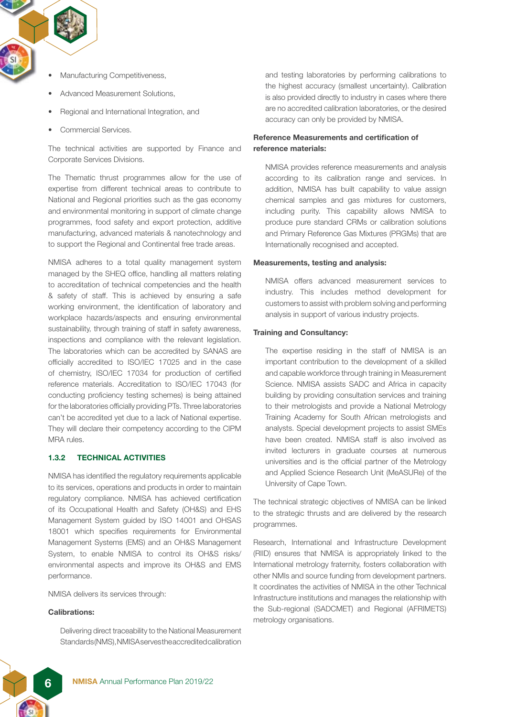- Manufacturing Competitiveness,
- Advanced Measurement Solutions,
- Regional and International Integration, and
- Commercial Services.

The technical activities are supported by Finance and Corporate Services Divisions.

The Thematic thrust programmes allow for the use of expertise from different technical areas to contribute to National and Regional priorities such as the gas economy and environmental monitoring in support of climate change programmes, food safety and export protection, additive manufacturing, advanced materials & nanotechnology and to support the Regional and Continental free trade areas.

NMISA adheres to a total quality management system managed by the SHEQ office, handling all matters relating to accreditation of technical competencies and the health & safety of staff. This is achieved by ensuring a safe working environment, the identification of laboratory and workplace hazards/aspects and ensuring environmental sustainability, through training of staff in safety awareness, inspections and compliance with the relevant legislation. The laboratories which can be accredited by SANAS are officially accredited to ISO/IEC 17025 and in the case of chemistry, ISO/IEC 17034 for production of certified reference materials. Accreditation to ISO/IEC 17043 (for conducting proficiency testing schemes) is being attained for the laboratories officially providing PTs. Three laboratories can't be accredited yet due to a lack of National expertise. They will declare their competency according to the CIPM MRA rules.

#### 1.3.2 TECHNICAL ACTIVITIES

NMISA has identified the regulatory requirements applicable to its services, operations and products in order to maintain regulatory compliance. NMISA has achieved certification of its Occupational Health and Safety (OH&S) and EHS Management System guided by ISO 14001 and OHSAS 18001 which specifies requirements for Environmental Management Systems (EMS) and an OH&S Management System, to enable NMISA to control its OH&S risks/ environmental aspects and improve its OH&S and EMS performance.

NMISA delivers its services through:

#### Calibrations:

Delivering direct traceability to the National Measurement Standards (NMS), NMISA serves the accredited calibration

and testing laboratories by performing calibrations to the highest accuracy (smallest uncertainty). Calibration is also provided directly to industry in cases where there are no accredited calibration laboratories, or the desired accuracy can only be provided by NMISA.

#### Reference Measurements and certification of reference materials:

NMISA provides reference measurements and analysis according to its calibration range and services. In addition, NMISA has built capability to value assign chemical samples and gas mixtures for customers, including purity. This capability allows NMISA to produce pure standard CRMs or calibration solutions and Primary Reference Gas Mixtures (PRGMs) that are Internationally recognised and accepted.

#### Measurements, testing and analysis:

NMISA offers advanced measurement services to industry. This includes method development for customers to assist with problem solving and performing analysis in support of various industry projects.

#### Training and Consultancy:

The expertise residing in the staff of NMISA is an important contribution to the development of a skilled and capable workforce through training in Measurement Science. NMISA assists SADC and Africa in capacity building by providing consultation services and training to their metrologists and provide a National Metrology Training Academy for South African metrologists and analysts. Special development projects to assist SMEs have been created. NMISA staff is also involved as invited lecturers in graduate courses at numerous universities and is the official partner of the Metrology and Applied Science Research Unit (MeASURe) of the University of Cape Town.

The technical strategic objectives of NMISA can be linked to the strategic thrusts and are delivered by the research programmes.

Research, International and Infrastructure Development (RIID) ensures that NMISA is appropriately linked to the International metrology fraternity, fosters collaboration with other NMIs and source funding from development partners. It coordinates the activities of NMISA in the other Technical Infrastructure institutions and manages the relationship with the Sub-regional (SADCMET) and Regional (AFRIMETS) metrology organisations.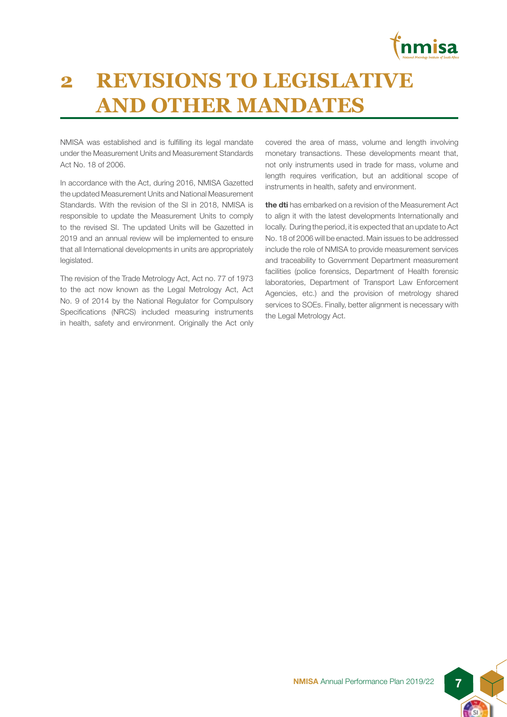

## **2 REVISIONS TO LEGISLATIVE AND OTHER MANDATES**

NMISA was established and is fulfilling its legal mandate under the Measurement Units and Measurement Standards Act No. 18 of 2006.

In accordance with the Act, during 2016, NMISA Gazetted the updated Measurement Units and National Measurement Standards. With the revision of the SI in 2018, NMISA is responsible to update the Measurement Units to comply to the revised SI. The updated Units will be Gazetted in 2019 and an annual review will be implemented to ensure that all International developments in units are appropriately legislated.

The revision of the Trade Metrology Act, Act no. 77 of 1973 to the act now known as the Legal Metrology Act, Act No. 9 of 2014 by the National Regulator for Compulsory Specifications (NRCS) included measuring instruments in health, safety and environment. Originally the Act only

covered the area of mass, volume and length involving monetary transactions. These developments meant that, not only instruments used in trade for mass, volume and length requires verification, but an additional scope of instruments in health, safety and environment.

the dti has embarked on a revision of the Measurement Act to align it with the latest developments Internationally and locally. During the period, it is expected that an update to Act No. 18 of 2006 will be enacted. Main issues to be addressed include the role of NMISA to provide measurement services and traceability to Government Department measurement facilities (police forensics, Department of Health forensic laboratories, Department of Transport Law Enforcement Agencies, etc.) and the provision of metrology shared services to SOEs. Finally, better alignment is necessary with the Legal Metrology Act.

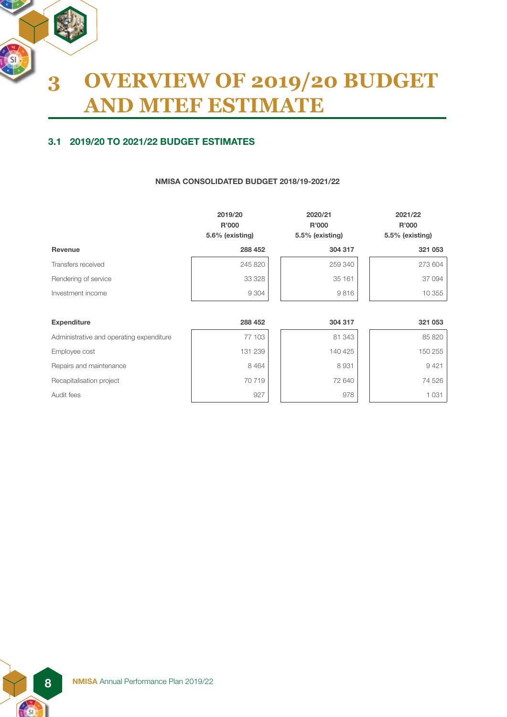**3 OVERVIEW OF 2019/20 BUDGET AND MTEF ESTIMATE**

#### 3.1 2019/20 TO 2021/22 BUDGET ESTIMATES

#### NMISA CONSOLIDATED BUDGET 2018/19-2021/22

|                                          | 2019/20<br>R'000<br>5.6% (existing) | 2020/21<br>R'000<br>5.5% (existing) | 2021/22<br>R'000<br>5.5% (existing) |
|------------------------------------------|-------------------------------------|-------------------------------------|-------------------------------------|
| Revenue                                  | 288 452                             | 304 317                             | 321 053                             |
| Transfers received                       | 245 820                             | 259 340                             | 273 604                             |
| Rendering of service                     | 33 328                              | 35 161                              | 37 094                              |
| Investment income                        | 9 3 0 4                             | 9816                                | 10 355                              |
|                                          |                                     |                                     |                                     |
| <b>Expenditure</b>                       | 288 452                             | 304 317                             | 321 053                             |
| Administrative and operating expenditure | 77 103                              | 81 343                              | 85 820                              |
| Employee cost                            | 131 239                             | 140 425                             | 150 255                             |
| Repairs and maintenance                  | 8 4 6 4                             | 8 9 3 1                             | 9 4 21                              |
| Recapitalisation project                 | 70719                               | 72 640                              | 74 526                              |
| Audit fees                               | 927                                 | 978                                 | 1 0 3 1                             |

8 NMISA Annual Performance Plan 2019/22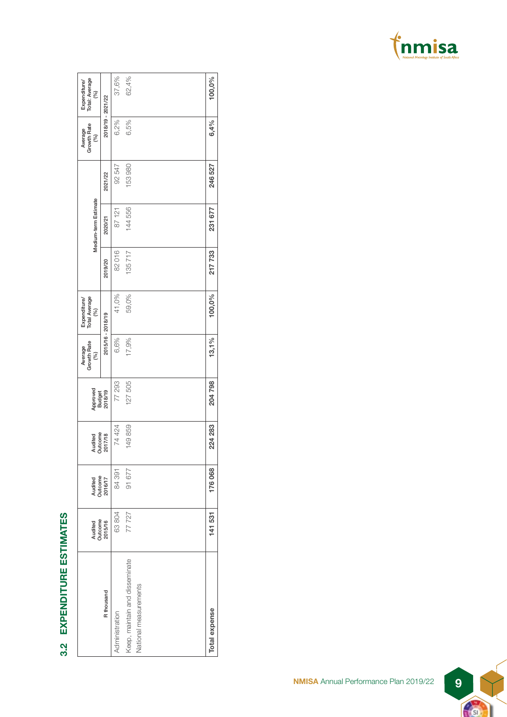EXPENDITURE ESTIMATES 3.2 EXPENDITURE ESTIMATES  $3.2$ 

|                                | Audited<br>Outcome<br>2015/16 | Audited<br>Outcome<br>2016/17 | Audited<br>Outcome | Approved          | Growth Rate<br>Average<br>(%) | Expenditure/<br>Total Average<br>(%) |         | Medium-term Estimate |         | <b>Growth Rate</b><br>Average<br>$(\%)$ | Total: Average<br>Expenditure/<br>(%) |
|--------------------------------|-------------------------------|-------------------------------|--------------------|-------------------|-------------------------------|--------------------------------------|---------|----------------------|---------|-----------------------------------------|---------------------------------------|
| R thousand                     |                               |                               | 2017/18            | Budget<br>2018/19 |                               | 2015/16 - 2018/19                    | 2019/20 | 2020/21              | 2021/22 | 2018/19 - 2021/22                       |                                       |
| Administration                 | 63804                         | 84 391                        | 74 424             | 77293             | 6,6%                          | 41,0%                                | 82016   | 87121                | 92 547  | 6,2%                                    | 37,6%                                 |
| Keep, maintain and disseminate | 77727                         | 91677                         | 149859             | 127505            | 17,9%                         | 59,0%                                | 135717  | 144 556              | 153980  | 6,5%                                    | 62,4%                                 |
| National measurements          |                               |                               |                    |                   |                               |                                      |         |                      |         |                                         |                                       |
|                                |                               |                               |                    |                   |                               |                                      |         |                      |         |                                         |                                       |
|                                |                               |                               |                    |                   |                               |                                      |         |                      |         |                                         |                                       |
|                                |                               |                               |                    |                   |                               |                                      |         |                      |         |                                         |                                       |
|                                |                               |                               |                    |                   |                               |                                      |         |                      |         |                                         |                                       |
| Total expense                  | 141531                        | 176 068                       | 224 283            | 204798            | 13,1%                         | 100,0%                               | 217 733 | 231 677              | 246 527 | 6,4%                                    | 100,0%                                |
|                                |                               |                               |                    |                   |                               |                                      |         |                      |         |                                         |                                       |



foll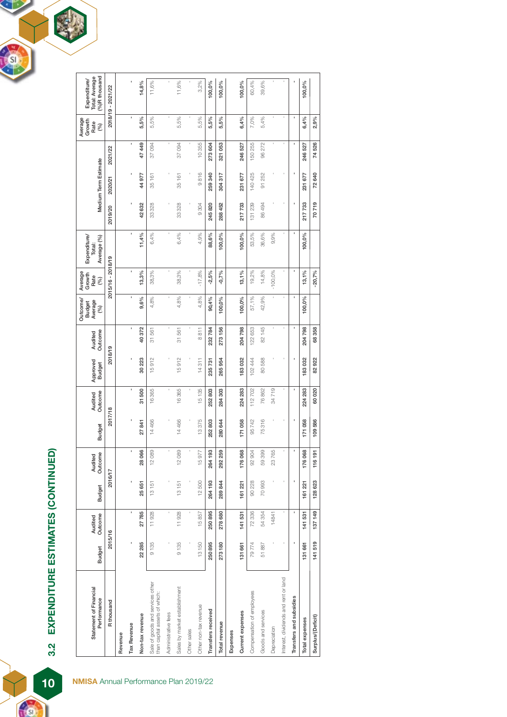$\subset$ 

Q

| Statement of Financial<br>Performance                             | <b>Budget</b> | Outcome<br>Audited | <b>Budget</b> | Outcome<br>Audited | <b>Budget</b> | Outcome<br>Audited | Approved<br><b>Budget</b> | Outcome<br>Audited | <b>Dutcome/</b><br>Average<br><b>Budget</b><br>(%) | Average<br>Growth<br>Rate<br>(%) | Expenditure/<br>Average (%)<br><b>Total:</b> |         | Medium Term Estimate |         | Average<br>Growth<br>Rate<br>(%) | %)R thousand<br>Total: Average<br>Expenditure/ |
|-------------------------------------------------------------------|---------------|--------------------|---------------|--------------------|---------------|--------------------|---------------------------|--------------------|----------------------------------------------------|----------------------------------|----------------------------------------------|---------|----------------------|---------|----------------------------------|------------------------------------------------|
| R thousand                                                        |               | 2015/16            | 2016/17       |                    | 2017/18       |                    | 2018/19                   |                    |                                                    | 2015/16 - 2018/19                |                                              | 2019/20 | 2020/21              | 2021/22 |                                  | 2018/19 - 2021/22                              |
| Revenue                                                           |               |                    |               |                    |               |                    |                           |                    |                                                    |                                  |                                              |         |                      |         |                                  |                                                |
| <b>Tax Revenue</b>                                                |               |                    |               |                    |               |                    |                           |                    |                                                    |                                  |                                              |         |                      |         |                                  |                                                |
| Non-tax revenue                                                   | 22 285        | 27785              | 25651         | 28066              | 27841         | 31500              | 30 223                    | 40372              | 9,6%                                               | 13,3%                            | 11,4%                                        | 42632   | 44 977               | 47 449  | 5,5%                             | 14,8%                                          |
| Sale of goods and services other<br>than capital assets of which: | 9135          | 11928              | 13151         | 12089              | 14 466        | 16365              | 15912                     | 31561              | 4,8%                                               | 38,3%                            | 6,4%                                         | 33328   | 35 161               | 37 094  | 5,5%                             | 11,6%                                          |
| Administrative fees                                               |               |                    |               |                    |               |                    |                           |                    |                                                    |                                  |                                              |         |                      |         |                                  |                                                |
| Sales by market establishment                                     | 9135          | 11928              | 13151         | 12089              | 14 466        | 16385              | 15912                     | 31561              | 4,8%                                               | 38,3%                            | 6,4%                                         | 33328   | 35 161               | 37 094  | 5,5%                             | 11,6%                                          |
| Other sales                                                       |               |                    |               |                    |               |                    |                           |                    |                                                    |                                  |                                              |         |                      |         |                                  |                                                |
| Other non-tax revenue                                             | 13150         | 15857              | 12500         | 15977              | 13375         | 15 135             | 14311                     | 8811               | 4,8%                                               | $-17,8%$                         | 4,9%                                         | 9304    | 9816                 | 10355   | 5,5%                             | 3,2%                                           |
| Transfers received                                                | 250895        | 250895             | 264 193       | 264 193            | 252803        | 252803             | 235731                    | 232784             | 90,4%                                              | $-2,5\%$                         | 88,6%                                        | 245820  | 259340               | 273 604 | 5,5%                             | 100,0%                                         |
| <b>Total revenue</b>                                              | 273 180       | 278 680            | 289844        | 292 259            | 280 644       | 284 303            | 265954                    | 273 156            | 100,0%                                             | $-0,7%$                          | 100,0%                                       | 288 452 | 304317               | 321 053 | 5,5%                             | 100,0%                                         |
| Expenses                                                          |               |                    |               |                    |               |                    |                           |                    |                                                    |                                  |                                              |         |                      |         |                                  |                                                |
| Current expenses                                                  | 131 661       | 141531             | 161 221       | 176 068            | 171058        | 224 283            | 183032                    | 204798             | 100,0%                                             | 13,1%                            | 100,0%                                       | 217733  | 231 677              | 246 527 | 6,4%                             | 100,0%                                         |
| Compensation of employees                                         | 79774         | 72 336             | 90 228        | 92 904             | 95 742        | 112702             | 102 444                   | 122653             | 57,1%                                              | 19,2%                            | 53,5%                                        | 131 239 | 140425               | 150255  | 7,0%                             | 60,4%                                          |
| Goods and services                                                | 51887         | 54354              | 70993         | 59 399             | 75316         | 76862              | 80588                     | 82 145             | 42,9%                                              | 14,8%                            | 36,6%                                        | 86494   | 91 252               | 96 27 2 | 5,4%                             | 39,6%                                          |
| Depreciation                                                      |               | 14841              |               | 23765              |               | 34719              |                           |                    |                                                    | $-100,0%$                        | 9,9%                                         |         |                      |         |                                  |                                                |
| Interest, dividends and rent or land                              |               |                    |               |                    |               |                    |                           |                    |                                                    |                                  |                                              |         |                      | f,      |                                  |                                                |
| Transfers and subsidies                                           |               |                    | t             |                    |               |                    |                           |                    |                                                    |                                  | ı                                            |         |                      |         |                                  |                                                |
| Total expenses                                                    | 131 661       | 141531             | 161 221       | 176 068            | 171058        | 224 283            | 183032                    | 204798             | 100,0%                                             | 13,1%                            | 100,0%                                       | 217 733 | 231 677              | 246 527 | 6,4%                             | 100,0%                                         |
| Surplus/(Deficit)                                                 | 141519        | 137 149            | 128 623       | 116 191            | 109 586       | 60020              | 82922                     | 68358              |                                                    | $-20,7%$                         |                                              | 70719   | 72640                | 74526   | 2,9%                             |                                                |

**AS**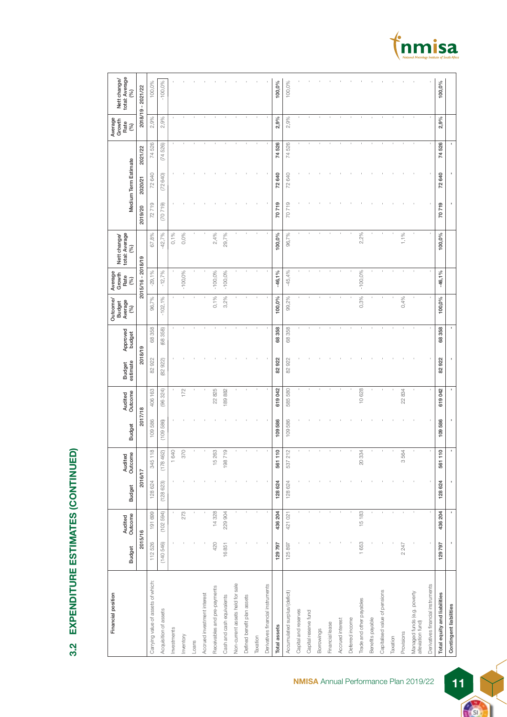

# EXPENDITURE ESTIMATES (CONTINUED) 3.2 EXPENDITURE ESTIMATES (CONTINUED) 3.2

 $\frac{1}{10}$ 

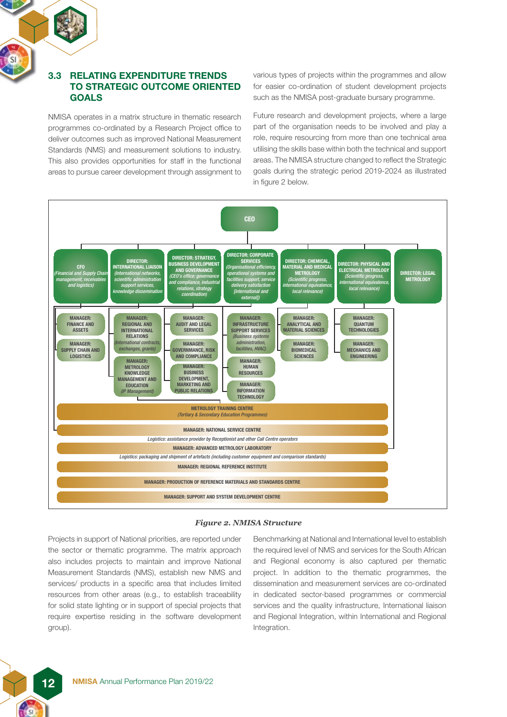#### 3.3 RELATING EXPENDITURE TRENDS TO STRATEGIC OUTCOME ORIENTED GOALS

NMISA operates in a matrix structure in thematic research programmes co-ordinated by a Research Project office to deliver outcomes such as improved National Measurement Standards (NMS) and measurement solutions to industry. This also provides opportunities for staff in the functional areas to pursue career development through assignment to

various types of projects within the programmes and allow for easier co-ordination of student development projects such as the NMISA post-graduate bursary programme.

Future research and development projects, where a large part of the organisation needs to be involved and play a role, require resourcing from more than one technical area utilising the skills base within both the technical and support areas. The NMISA structure changed to reflect the Strategic goals during the strategic period 2019-2024 as illustrated in figure 2 below.



 *Figure 2. NMISA Structure*

Projects in support of National priorities, are reported under the sector or thematic programme. The matrix approach also includes projects to maintain and improve National Measurement Standards (NMS), establish new NMS and services/ products in a specific area that includes limited resources from other areas (e.g., to establish traceability for solid state lighting or in support of special projects that require expertise residing in the software development group).

Benchmarking at National and International level to establish the required level of NMS and services for the South African and Regional economy is also captured per thematic project. In addition to the thematic programmes, the dissemination and measurement services are co-ordinated in dedicated sector-based programmes or commercial services and the quality infrastructure, International liaison and Regional Integration, within International and Regional Integration.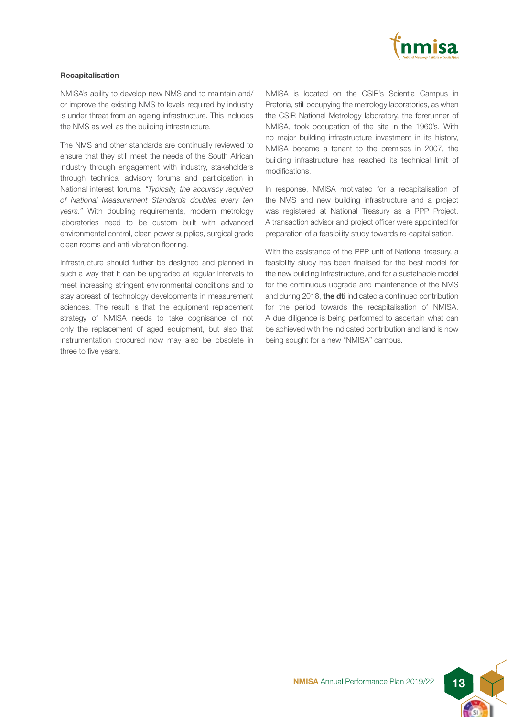

#### Recapitalisation

NMISA's ability to develop new NMS and to maintain and/ or improve the existing NMS to levels required by industry is under threat from an ageing infrastructure. This includes the NMS as well as the building infrastructure.

The NMS and other standards are continually reviewed to ensure that they still meet the needs of the South African industry through engagement with industry, stakeholders through technical advisory forums and participation in National interest forums. "Typically, the accuracy required of National Measurement Standards doubles every ten years." With doubling requirements, modern metrology laboratories need to be custom built with advanced environmental control, clean power supplies, surgical grade clean rooms and anti-vibration flooring.

Infrastructure should further be designed and planned in such a way that it can be upgraded at regular intervals to meet increasing stringent environmental conditions and to stay abreast of technology developments in measurement sciences. The result is that the equipment replacement strategy of NMISA needs to take cognisance of not only the replacement of aged equipment, but also that instrumentation procured now may also be obsolete in three to five years.

NMISA is located on the CSIR's Scientia Campus in Pretoria, still occupying the metrology laboratories, as when the CSIR National Metrology laboratory, the forerunner of NMISA, took occupation of the site in the 1960's. With no major building infrastructure investment in its history, NMISA became a tenant to the premises in 2007, the building infrastructure has reached its technical limit of modifications.

In response, NMISA motivated for a recapitalisation of the NMS and new building infrastructure and a project was registered at National Treasury as a PPP Project. A transaction advisor and project officer were appointed for preparation of a feasibility study towards re-capitalisation.

With the assistance of the PPP unit of National treasury, a feasibility study has been finalised for the best model for the new building infrastructure, and for a sustainable model for the continuous upgrade and maintenance of the NMS and during 2018, the dti indicated a continued contribution for the period towards the recapitalisation of NMISA. A due diligence is being performed to ascertain what can be achieved with the indicated contribution and land is now being sought for a new "NMISA" campus.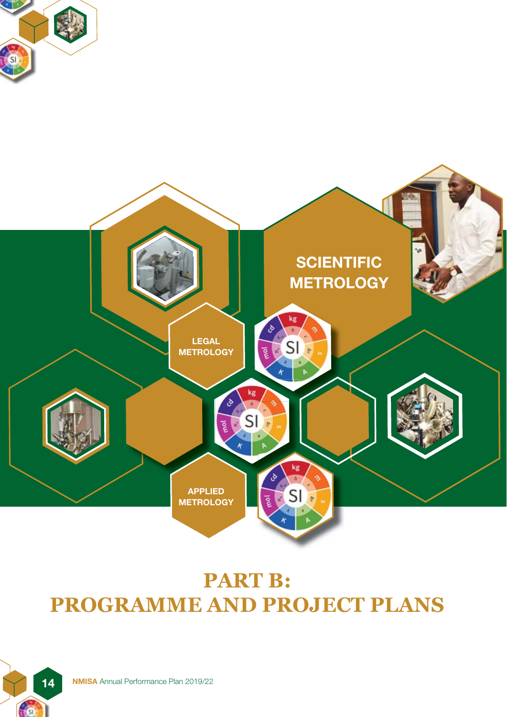



## **PART B: PROGRAMME AND PROJECT PLANS**

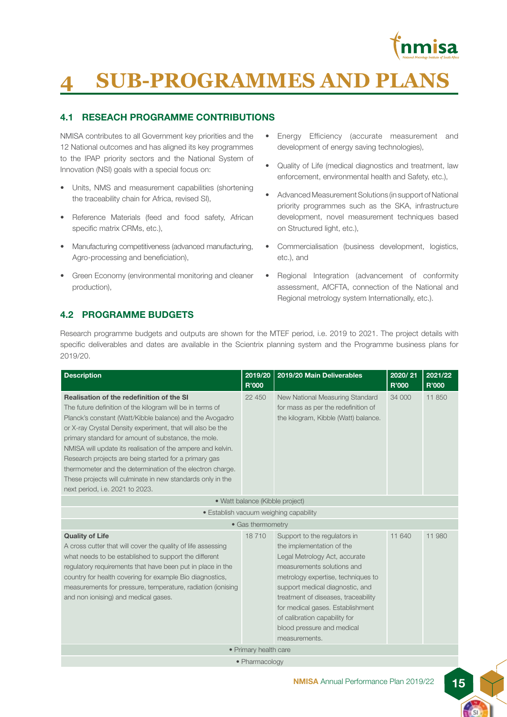

## **4 SUB-PROGRAMMES AND PLANS**

#### 4.1 RESEACH PROGRAMME CONTRIBUTIONS

NMISA contributes to all Government key priorities and the 12 National outcomes and has aligned its key programmes to the IPAP priority sectors and the National System of Innovation (NSI) goals with a special focus on:

- Units, NMS and measurement capabilities (shortening the traceability chain for Africa, revised SI),
- Reference Materials (feed and food safety, African specific matrix CRMs, etc.),
- Manufacturing competitiveness (advanced manufacturing, Agro-processing and beneficiation),
- Green Economy (environmental monitoring and cleaner production),
- Energy Efficiency (accurate measurement and development of energy saving technologies),
- Quality of Life (medical diagnostics and treatment, law enforcement, environmental health and Safety, etc.),
- Advanced Measurement Solutions (in support of National priority programmes such as the SKA, infrastructure development, novel measurement techniques based on Structured light, etc.),
- Commercialisation (business development, logistics, etc.), and
- Regional Integration (advancement of conformity assessment, AfCFTA, connection of the National and Regional metrology system Internationally, etc.).

#### 4.2 PROGRAMME BUDGETS

Research programme budgets and outputs are shown for the MTEF period, i.e. 2019 to 2021. The project details with specific deliverables and dates are available in the Scientrix planning system and the Programme business plans for 2019/20.

| <b>Description</b>                                                                                                                                                                                                                                                                                                                                                                                                                                                                                                                                                            | 2019/20<br><b>R'000</b>         | 2019/20 Main Deliverables                                                                                                                                                                                                                                                                                                                                    | 2020/21<br><b>R'000</b> | 2021/22<br>R'000 |  |  |
|-------------------------------------------------------------------------------------------------------------------------------------------------------------------------------------------------------------------------------------------------------------------------------------------------------------------------------------------------------------------------------------------------------------------------------------------------------------------------------------------------------------------------------------------------------------------------------|---------------------------------|--------------------------------------------------------------------------------------------------------------------------------------------------------------------------------------------------------------------------------------------------------------------------------------------------------------------------------------------------------------|-------------------------|------------------|--|--|
| Realisation of the redefinition of the SI<br>The future definition of the kilogram will be in terms of<br>Planck's constant (Watt/Kibble balance) and the Avogadro<br>or X-ray Crystal Density experiment, that will also be the<br>primary standard for amount of substance, the mole.<br>NMISA will update its realisation of the ampere and kelvin.<br>Research projects are being started for a primary gas<br>thermometer and the determination of the electron charge.<br>These projects will culminate in new standards only in the<br>next period, i.e. 2021 to 2023. | 22 450                          | New National Measuring Standard<br>for mass as per the redefinition of<br>the kilogram, Kibble (Watt) balance.                                                                                                                                                                                                                                               | 34 000                  | 11850            |  |  |
|                                                                                                                                                                                                                                                                                                                                                                                                                                                                                                                                                                               | • Watt balance (Kibble project) |                                                                                                                                                                                                                                                                                                                                                              |                         |                  |  |  |
|                                                                                                                                                                                                                                                                                                                                                                                                                                                                                                                                                                               |                                 | • Establish vacuum weighing capability                                                                                                                                                                                                                                                                                                                       |                         |                  |  |  |
| • Gas thermometry                                                                                                                                                                                                                                                                                                                                                                                                                                                                                                                                                             |                                 |                                                                                                                                                                                                                                                                                                                                                              |                         |                  |  |  |
| <b>Quality of Life</b><br>A cross cutter that will cover the quality of life assessing<br>what needs to be established to support the different<br>regulatory requirements that have been put in place in the<br>country for health covering for example Bio diagnostics,<br>measurements for pressure, temperature, radiation (ionising<br>and non ionising) and medical gases.                                                                                                                                                                                              | 18710                           | Support to the regulators in<br>the implementation of the<br>Legal Metrology Act, accurate<br>measurements solutions and<br>metrology expertise, techniques to<br>support medical diagnostic, and<br>treatment of diseases, traceability<br>for medical gases. Establishment<br>of calibration capability for<br>blood pressure and medical<br>measurements. | 11 640                  | 11 980           |  |  |
|                                                                                                                                                                                                                                                                                                                                                                                                                                                                                                                                                                               | • Primary health care           |                                                                                                                                                                                                                                                                                                                                                              |                         |                  |  |  |
|                                                                                                                                                                                                                                                                                                                                                                                                                                                                                                                                                                               | · Pharmacology                  |                                                                                                                                                                                                                                                                                                                                                              |                         |                  |  |  |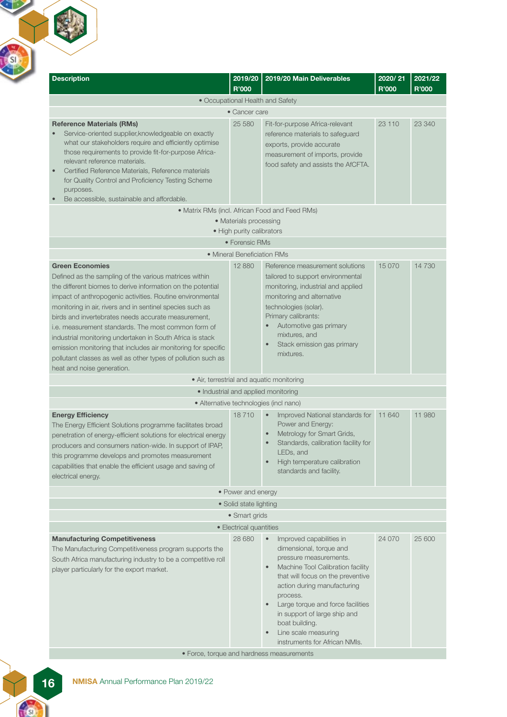| <b>Description</b>                                                                                                                                                                                                                                                                                                                                                                                                                                                                                                                                                                                                   | 2019/20<br><b>R'000</b>     | 2019/20 Main Deliverables                                                                                                                                                                                                                                                                                                                          | 2020/21<br>R'000 | 2021/22<br><b>R'000</b> |
|----------------------------------------------------------------------------------------------------------------------------------------------------------------------------------------------------------------------------------------------------------------------------------------------------------------------------------------------------------------------------------------------------------------------------------------------------------------------------------------------------------------------------------------------------------------------------------------------------------------------|-----------------------------|----------------------------------------------------------------------------------------------------------------------------------------------------------------------------------------------------------------------------------------------------------------------------------------------------------------------------------------------------|------------------|-------------------------|
|                                                                                                                                                                                                                                                                                                                                                                                                                                                                                                                                                                                                                      |                             | • Occupational Health and Safety                                                                                                                                                                                                                                                                                                                   |                  |                         |
|                                                                                                                                                                                                                                                                                                                                                                                                                                                                                                                                                                                                                      | • Cancer care               |                                                                                                                                                                                                                                                                                                                                                    |                  |                         |
| <b>Reference Materials (RMs)</b><br>Service-oriented supplier, knowledgeable on exactly<br>what our stakeholders require and efficiently optimise<br>those requirements to provide fit-for-purpose Africa-<br>relevant reference materials.<br>Certified Reference Materials, Reference materials<br>$\bullet$<br>for Quality Control and Proficiency Testing Scheme<br>purposes.<br>Be accessible, sustainable and affordable.                                                                                                                                                                                      | 25 580                      | Fit-for-purpose Africa-relevant<br>reference materials to safeguard<br>exports, provide accurate<br>measurement of imports, provide<br>food safety and assists the AfCFTA.                                                                                                                                                                         | 23 110           | 23 340                  |
|                                                                                                                                                                                                                                                                                                                                                                                                                                                                                                                                                                                                                      |                             | • Matrix RMs (incl. African Food and Feed RMs)                                                                                                                                                                                                                                                                                                     |                  |                         |
|                                                                                                                                                                                                                                                                                                                                                                                                                                                                                                                                                                                                                      | • Materials processing      |                                                                                                                                                                                                                                                                                                                                                    |                  |                         |
|                                                                                                                                                                                                                                                                                                                                                                                                                                                                                                                                                                                                                      | • High purity calibrators   |                                                                                                                                                                                                                                                                                                                                                    |                  |                         |
|                                                                                                                                                                                                                                                                                                                                                                                                                                                                                                                                                                                                                      | • Forensic RMs              |                                                                                                                                                                                                                                                                                                                                                    |                  |                         |
|                                                                                                                                                                                                                                                                                                                                                                                                                                                                                                                                                                                                                      | • Mineral Beneficiation RMs |                                                                                                                                                                                                                                                                                                                                                    |                  |                         |
| <b>Green Economies</b><br>Defined as the sampling of the various matrices within<br>the different biomes to derive information on the potential<br>impact of anthropogenic activities. Routine environmental<br>monitoring in air, rivers and in sentinel species such as<br>birds and invertebrates needs accurate measurement,<br>i.e. measurement standards. The most common form of<br>industrial monitoring undertaken in South Africa is stack<br>emission monitoring that includes air monitoring for specific<br>pollutant classes as well as other types of pollution such as<br>heat and noise generation. | 12 8 8 0                    | Reference measurement solutions<br>tailored to support environmental<br>monitoring, industrial and applied<br>monitoring and alternative<br>technologies (solar).<br>Primary calibrants:<br>Automotive gas primary<br>mixtures, and<br>Stack emission gas primary<br>mixtures.                                                                     | 15 0 70          | 14730                   |
|                                                                                                                                                                                                                                                                                                                                                                                                                                                                                                                                                                                                                      |                             | • Air, terrestrial and aquatic monitoring                                                                                                                                                                                                                                                                                                          |                  |                         |
|                                                                                                                                                                                                                                                                                                                                                                                                                                                                                                                                                                                                                      |                             | • Industrial and applied monitoring                                                                                                                                                                                                                                                                                                                |                  |                         |
|                                                                                                                                                                                                                                                                                                                                                                                                                                                                                                                                                                                                                      |                             | · Alternative technologies (incl nano)                                                                                                                                                                                                                                                                                                             |                  |                         |
| <b>Energy Efficiency</b><br>The Energy Efficient Solutions programme facilitates broad<br>penetration of energy-efficient solutions for electrical energy<br>producers and consumers nation-wide. In support of IPAP,<br>this programme develops and promotes measurement<br>capabilities that enable the efficient usage and saving of<br>electrical energy.                                                                                                                                                                                                                                                        | 18710                       | Improved National standards for<br>$\bullet$<br>Power and Energy:<br>Metrology for Smart Grids,<br>Standards, calibration facility for<br>LEDs, and<br>High temperature calibration<br>standards and facility.                                                                                                                                     | 11640            | 11 980                  |
|                                                                                                                                                                                                                                                                                                                                                                                                                                                                                                                                                                                                                      | • Power and energy          |                                                                                                                                                                                                                                                                                                                                                    |                  |                         |
|                                                                                                                                                                                                                                                                                                                                                                                                                                                                                                                                                                                                                      | • Solid state lighting      |                                                                                                                                                                                                                                                                                                                                                    |                  |                         |
|                                                                                                                                                                                                                                                                                                                                                                                                                                                                                                                                                                                                                      | • Smart grids               |                                                                                                                                                                                                                                                                                                                                                    |                  |                         |
|                                                                                                                                                                                                                                                                                                                                                                                                                                                                                                                                                                                                                      | • Electrical quantities     |                                                                                                                                                                                                                                                                                                                                                    |                  |                         |
| <b>Manufacturing Competitiveness</b><br>The Manufacturing Competitiveness program supports the<br>South Africa manufacturing industry to be a competitive roll<br>player particularly for the export market.                                                                                                                                                                                                                                                                                                                                                                                                         | 28 680                      | Improved capabilities in<br>dimensional, torque and<br>pressure measurements.<br>Machine Tool Calibration facility<br>that will focus on the preventive<br>action during manufacturing<br>process.<br>Large torque and force facilities<br>in support of large ship and<br>boat building.<br>Line scale measuring<br>instruments for African NMIs. | 24 070           | 25 600                  |
|                                                                                                                                                                                                                                                                                                                                                                                                                                                                                                                                                                                                                      |                             | • Force, torque and hardness measurements                                                                                                                                                                                                                                                                                                          |                  |                         |

**PENI** 

Œ

G

M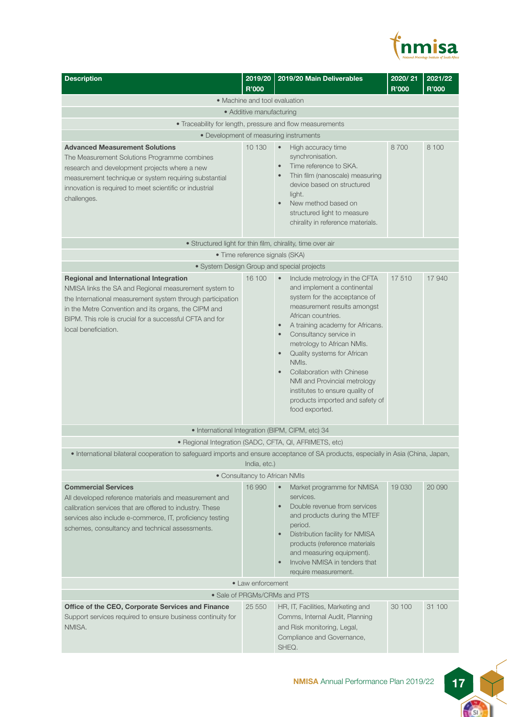

| <b>Description</b>                                                                                                                                                                                                                                                                                               | 2019/20<br><b>R'000</b>        | 2019/20 Main Deliverables                                                                                                                                                                                                                                                                                                                                                                                                                                                                              | 2020/21<br><b>R'000</b> | 2021/22<br><b>R'000</b> |
|------------------------------------------------------------------------------------------------------------------------------------------------------------------------------------------------------------------------------------------------------------------------------------------------------------------|--------------------------------|--------------------------------------------------------------------------------------------------------------------------------------------------------------------------------------------------------------------------------------------------------------------------------------------------------------------------------------------------------------------------------------------------------------------------------------------------------------------------------------------------------|-------------------------|-------------------------|
|                                                                                                                                                                                                                                                                                                                  | • Machine and tool evaluation  |                                                                                                                                                                                                                                                                                                                                                                                                                                                                                                        |                         |                         |
|                                                                                                                                                                                                                                                                                                                  | • Additive manufacturing       |                                                                                                                                                                                                                                                                                                                                                                                                                                                                                                        |                         |                         |
|                                                                                                                                                                                                                                                                                                                  |                                | • Traceability for length, pressure and flow measurements                                                                                                                                                                                                                                                                                                                                                                                                                                              |                         |                         |
|                                                                                                                                                                                                                                                                                                                  |                                | • Development of measuring instruments                                                                                                                                                                                                                                                                                                                                                                                                                                                                 |                         |                         |
| <b>Advanced Measurement Solutions</b><br>The Measurement Solutions Programme combines<br>research and development projects where a new<br>measurement technique or system requiring substantial<br>innovation is required to meet scientific or industrial<br>challenges.                                        | 10 130                         | High accuracy time<br>$\bullet$<br>synchronisation.<br>Time reference to SKA.<br>$\bullet$<br>Thin film (nanoscale) measuring<br>device based on structured<br>light.<br>New method based on<br>structured light to measure<br>chirality in reference materials.                                                                                                                                                                                                                                       | 8700                    | 8 100                   |
|                                                                                                                                                                                                                                                                                                                  |                                | • Structured light for thin film, chirality, time over air                                                                                                                                                                                                                                                                                                                                                                                                                                             |                         |                         |
|                                                                                                                                                                                                                                                                                                                  | • Time reference signals (SKA) |                                                                                                                                                                                                                                                                                                                                                                                                                                                                                                        |                         |                         |
|                                                                                                                                                                                                                                                                                                                  |                                | • System Design Group and special projects                                                                                                                                                                                                                                                                                                                                                                                                                                                             |                         |                         |
| <b>Regional and International Integration</b><br>NMISA links the SA and Regional measurement system to<br>the International measurement system through participation<br>in the Metre Convention and its organs, the CIPM and<br>BIPM. This role is crucial for a successful CFTA and for<br>local beneficiation. | 16 100                         | Include metrology in the CFTA<br>and implement a continental<br>system for the acceptance of<br>measurement results amongst<br>African countries.<br>A training academy for Africans.<br>$\bullet$<br>Consultancy service in<br>$\bullet$<br>metrology to African NMIs.<br>Quality systems for African<br>$\bullet$<br>NMI <sub>s</sub> .<br><b>Collaboration with Chinese</b><br>NMI and Provincial metrology<br>institutes to ensure quality of<br>products imported and safety of<br>food exported. | 17510                   | 17 940                  |
|                                                                                                                                                                                                                                                                                                                  |                                | · International Integration (BIPM, CIPM, etc) 34                                                                                                                                                                                                                                                                                                                                                                                                                                                       |                         |                         |
|                                                                                                                                                                                                                                                                                                                  |                                | · Regional Integration (SADC, CFTA, QI, AFRIMETS, etc)                                                                                                                                                                                                                                                                                                                                                                                                                                                 |                         |                         |
| · International bilateral cooperation to safeguard imports and ensure acceptance of SA products, especially in Asia (China, Japan,                                                                                                                                                                               | India, etc.)                   |                                                                                                                                                                                                                                                                                                                                                                                                                                                                                                        |                         |                         |
|                                                                                                                                                                                                                                                                                                                  | • Consultancy to African NMIs  |                                                                                                                                                                                                                                                                                                                                                                                                                                                                                                        |                         |                         |
| <b>Commercial Services</b><br>All developed reference materials and measurement and<br>calibration services that are offered to industry. These<br>services also include e-commerce, IT, proficiency testing<br>schemes, consultancy and technical assessments.                                                  | 16 990                         | Market programme for NMISA<br>$\bullet$<br>services.<br>Double revenue from services<br>and products during the MTEF<br>period.<br>Distribution facility for NMISA<br>$\bullet$<br>products (reference materials<br>and measuring equipment).<br>Involve NMISA in tenders that<br>require measurement.                                                                                                                                                                                                 | 19 030                  | 20 090                  |
|                                                                                                                                                                                                                                                                                                                  | • Law enforcement              |                                                                                                                                                                                                                                                                                                                                                                                                                                                                                                        |                         |                         |
|                                                                                                                                                                                                                                                                                                                  |                                | • Sale of PRGMs/CRMs and PTS                                                                                                                                                                                                                                                                                                                                                                                                                                                                           |                         |                         |
| Office of the CEO, Corporate Services and Finance<br>Support services required to ensure business continuity for<br>NMISA.                                                                                                                                                                                       | 25 550                         | HR, IT, Facilities, Marketing and<br>Comms, Internal Audit, Planning<br>and Risk monitoring, Legal,<br>Compliance and Governance,<br>SHEQ.                                                                                                                                                                                                                                                                                                                                                             | 30 100                  | 31 100                  |

 $\sqrt{2}$ 

**Participation**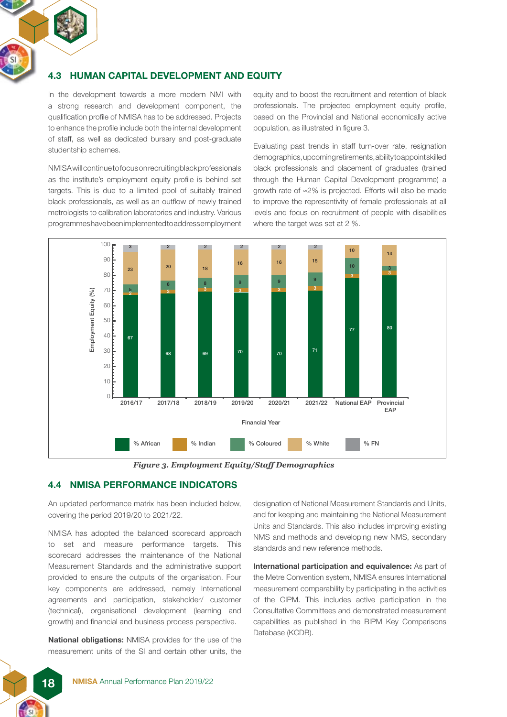#### 4.3 HUMAN CAPITAL DEVELOPMENT AND EQUITY

In the development towards a more modern NMI with a strong research and development component, the qualification profile of NMISA has to be addressed. Projects to enhance the profile include both the internal development of staff, as well as dedicated bursary and post-graduate studentship schemes.

NMISA will continue to focus on recruiting black professionals as the institute's employment equity profile is behind set targets. This is due to a limited pool of suitably trained black professionals, as well as an outflow of newly trained metrologists to calibration laboratories and industry. Various programmes have been implemented to address employment

equity and to boost the recruitment and retention of black professionals. The projected employment equity profile, based on the Provincial and National economically active population, as illustrated in figure 3.

Evaluating past trends in staff turn-over rate, resignation demographics, upcoming retirements, ability to appoint skilled black professionals and placement of graduates (trained through the Human Capital Development programme) a growth rate of ≈2% is projected. Efforts will also be made to improve the representivity of female professionals at all levels and focus on recruitment of people with disabilities where the target was set at 2 %.



*Figure 3. Employment Equity/Staff Demographics*

#### 4.4 NMISA PERFORMANCE INDICATORS

An updated performance matrix has been included below, covering the period 2019/20 to 2021/22.

NMISA has adopted the balanced scorecard approach to set and measure performance targets. This scorecard addresses the maintenance of the National Measurement Standards and the administrative support provided to ensure the outputs of the organisation. Four key components are addressed, namely International agreements and participation, stakeholder/ customer (technical), organisational development (learning and growth) and financial and business process perspective.

National obligations: NMISA provides for the use of the measurement units of the SI and certain other units, the

designation of National Measurement Standards and Units, and for keeping and maintaining the National Measurement Units and Standards. This also includes improving existing NMS and methods and developing new NMS, secondary standards and new reference methods.

International participation and equivalence: As part of the Metre Convention system, NMISA ensures International measurement comparability by participating in the activities of the CIPM. This includes active participation in the Consultative Committees and demonstrated measurement capabilities as published in the BIPM Key Comparisons Database (KCDB).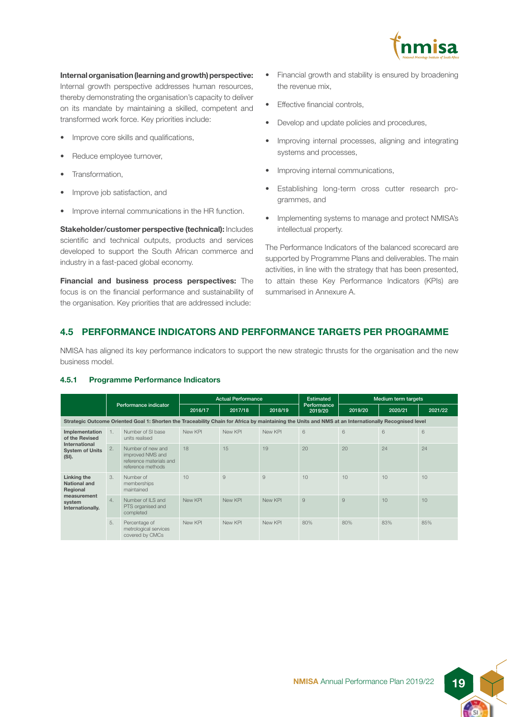

#### Internal organisation (learning and growth) perspective:

Internal growth perspective addresses human resources, thereby demonstrating the organisation's capacity to deliver on its mandate by maintaining a skilled, competent and transformed work force. Key priorities include:

- Improve core skills and qualifications,
- Reduce employee turnover,
- Transformation,
- Improve job satisfaction, and
- Improve internal communications in the HR function.

Stakeholder/customer perspective (technical): Includes scientific and technical outputs, products and services developed to support the South African commerce and industry in a fast-paced global economy.

Financial and business process perspectives: The focus is on the financial performance and sustainability of the organisation. Key priorities that are addressed include:

- Financial growth and stability is ensured by broadening the revenue mix,
- Effective financial controls,
- Develop and update policies and procedures,
- Improving internal processes, aligning and integrating systems and processes,
- Improving internal communications.
- Establishing long-term cross cutter research programmes, and
- Implementing systems to manage and protect NMISA's intellectual property.

The Performance Indicators of the balanced scorecard are supported by Programme Plans and deliverables. The main activities, in line with the strategy that has been presented, to attain these Key Performance Indicators (KPIs) are summarised in Annexure A.

#### 4.5 PERFORMANCE INDICATORS AND PERFORMANCE TARGETS PER PROGRAMME

NMISA has aligned its key performance indicators to support the new strategic thrusts for the organisation and the new business model.

#### **Performance indicator** Actual Performance **Extimated Performance 2019/20 Medium term targets 2016/17 2017/18 2018/19 2019/20 2020/21 2021/22** Strategic Outcome Oriented Goal 1: Shorten the Traceability Chain for Africa by maintaining the Units and NMS at an Internationally Recognised level Implementation 1. of the Revised International System of Units  $(S<sub>II</sub>)$ . Number of SI base units realised New KPI New KPI New KPI 6666 2. Number of new and improved NMS and reference materials and reference methods 18 15 19 20 20 24 24 Linking the National and Regional measurement system Internationally. 3. Number of memberships maintained 10 9 9 10 10 10 10 10 4. Number of ILS and PTS organised and completed New KPI New KPI New KPI 9 9 9 10 10 5. Percentage of metrological services covered by CMCs New KPI New KPI New KPI 80% 80% 83% 85%

#### 4.5.1 Programme Performance Indicators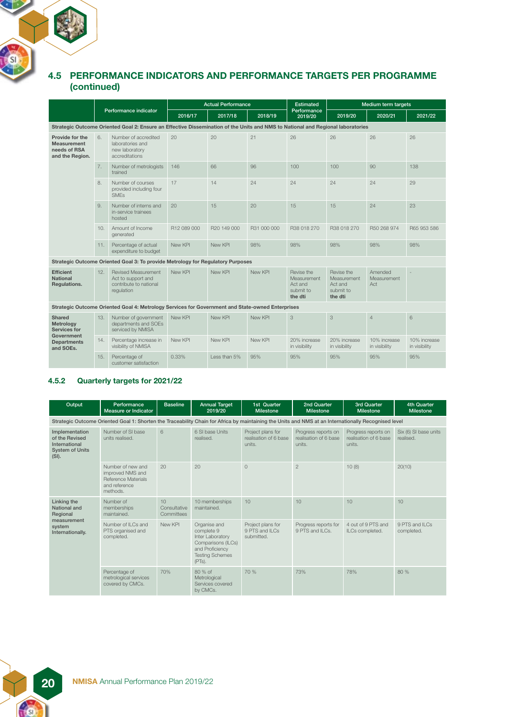## 4.5 PERFORMANCE INDICATORS AND PERFORMANCE TARGETS PER PROGRAMME (continued)

|                                                                          |     |                                                                                                                                                                                                                                                                                                                                                                                                                                                                                                                                                                                                                                                                                                                                                                                                                                                                                                                    |                 | <b>Actual Performance</b> |             | <b>Estimated</b>                                             |                                                              | Medium term targets                  |                               |
|--------------------------------------------------------------------------|-----|--------------------------------------------------------------------------------------------------------------------------------------------------------------------------------------------------------------------------------------------------------------------------------------------------------------------------------------------------------------------------------------------------------------------------------------------------------------------------------------------------------------------------------------------------------------------------------------------------------------------------------------------------------------------------------------------------------------------------------------------------------------------------------------------------------------------------------------------------------------------------------------------------------------------|-----------------|---------------------------|-------------|--------------------------------------------------------------|--------------------------------------------------------------|--------------------------------------|-------------------------------|
|                                                                          |     | Performance indicator<br>Strategic Outcome Oriented Goal 2: Ensure an Effective Dissemination of the Units and NMS to National and Regional laboratories<br>Number of accredited<br>laboratories and<br>new laboratory<br>accreditations<br>Number of metrologists<br>trained<br>Number of courses<br>provided including four<br><b>SMEs</b><br>Number of interns and<br>in-service trainees<br>hosted<br>Amount of Income<br>generated<br>Percentage of actual<br>expenditure to budget<br>Strategic Outcome Oriented Goal 3: To provide Metrology for Regulatory Purposes<br><b>Revised Measurement</b><br>Act to support and<br>contribute to national<br>regulation<br>Strategic Outcome Oriented Goal 4: Metrology Services for Government and State-owned Enterprises<br>Number of government<br>departments and SOEs<br>serviced by NMISA<br>Percentage increase in<br>visibility of NMISA<br>Percentage of | 2016/17         | 2017/18                   | 2018/19     | Performance<br>2019/20                                       | 2019/20                                                      | 2020/21                              | 2021/22                       |
|                                                                          |     |                                                                                                                                                                                                                                                                                                                                                                                                                                                                                                                                                                                                                                                                                                                                                                                                                                                                                                                    |                 |                           |             |                                                              |                                                              |                                      |                               |
| Provide for the<br><b>Measurement</b><br>needs of RSA<br>and the Region. | 6.  |                                                                                                                                                                                                                                                                                                                                                                                                                                                                                                                                                                                                                                                                                                                                                                                                                                                                                                                    | 20 <sup>2</sup> | 20 <sub>0</sub>           | 21          | 26                                                           | 26                                                           | 26                                   | 26                            |
|                                                                          | 7.  |                                                                                                                                                                                                                                                                                                                                                                                                                                                                                                                                                                                                                                                                                                                                                                                                                                                                                                                    | 146             | 66                        | 96          | 100                                                          | 100                                                          | 90                                   | 138                           |
|                                                                          | 8.  |                                                                                                                                                                                                                                                                                                                                                                                                                                                                                                                                                                                                                                                                                                                                                                                                                                                                                                                    | 17              | 14                        | 24          | 24                                                           | 24                                                           | 24                                   | 29                            |
|                                                                          | 9.  |                                                                                                                                                                                                                                                                                                                                                                                                                                                                                                                                                                                                                                                                                                                                                                                                                                                                                                                    | 20              | 15                        | 20          | 15                                                           | 15                                                           | 24                                   | 23                            |
|                                                                          | 10. |                                                                                                                                                                                                                                                                                                                                                                                                                                                                                                                                                                                                                                                                                                                                                                                                                                                                                                                    | R12 089 000     | R20 149 000               | R31 000 000 | R38 018 270                                                  | R38 018 270                                                  | R50 268 974                          | R65 953 586                   |
|                                                                          | 11. |                                                                                                                                                                                                                                                                                                                                                                                                                                                                                                                                                                                                                                                                                                                                                                                                                                                                                                                    | New KPI         | New KPI                   | 98%         | 98%                                                          | 98%                                                          | 98%                                  | 98%                           |
|                                                                          |     |                                                                                                                                                                                                                                                                                                                                                                                                                                                                                                                                                                                                                                                                                                                                                                                                                                                                                                                    |                 |                           |             |                                                              |                                                              |                                      |                               |
| <b>Efficient</b><br><b>National</b><br>Regulations.                      | 12. |                                                                                                                                                                                                                                                                                                                                                                                                                                                                                                                                                                                                                                                                                                                                                                                                                                                                                                                    | New KPI         | New KPI                   | New KPI     | Revise the<br>Measurement<br>Act and<br>submit to<br>the dti | Revise the<br>Measurement<br>Act and<br>submit to<br>the dti | Amended<br><b>Measurement</b><br>Act |                               |
|                                                                          |     |                                                                                                                                                                                                                                                                                                                                                                                                                                                                                                                                                                                                                                                                                                                                                                                                                                                                                                                    |                 |                           |             |                                                              |                                                              |                                      |                               |
| <b>Shared</b><br><b>Metrology</b><br>Services for                        | 13. |                                                                                                                                                                                                                                                                                                                                                                                                                                                                                                                                                                                                                                                                                                                                                                                                                                                                                                                    | New KPI         | New KPI                   | New KPI     | 3                                                            | 3                                                            | $\overline{4}$                       | 6                             |
| Government<br><b>Departments</b><br>and SOEs.                            | 14. |                                                                                                                                                                                                                                                                                                                                                                                                                                                                                                                                                                                                                                                                                                                                                                                                                                                                                                                    | New KPI         | New KPI                   | New KPI     | 20% increase<br>in visibility                                | 20% increase<br>in visibility                                | 10% increase<br>in visibility        | 10% increase<br>in visibility |
|                                                                          | 15. | customer satisfaction                                                                                                                                                                                                                                                                                                                                                                                                                                                                                                                                                                                                                                                                                                                                                                                                                                                                                              | 0.33%           | Less than 5%              | 95%         | 95%                                                          | 95%                                                          | 95%                                  | 95%                           |

#### 4.5.2 Quarterly targets for 2021/22

| Output                                                                               | Performance<br>Measure or Indicator                                                                                                                  | <b>Baseline</b>                               | <b>Annual Target</b><br>2019/20                                                                                                | 1st Quarter<br><b>Milestone</b>                      | 2nd Quarter<br><b>Milestone</b>                        | <b>3rd Quarter</b><br><b>Milestone</b>                 | <b>4th Quarter</b><br><b>Milestone</b> |
|--------------------------------------------------------------------------------------|------------------------------------------------------------------------------------------------------------------------------------------------------|-----------------------------------------------|--------------------------------------------------------------------------------------------------------------------------------|------------------------------------------------------|--------------------------------------------------------|--------------------------------------------------------|----------------------------------------|
|                                                                                      | Strategic Outcome Oriented Goal 1: Shorten the Traceability Chain for Africa by maintaining the Units and NMS at an Internationally Recognised level |                                               |                                                                                                                                |                                                      |                                                        |                                                        |                                        |
| Implementation<br>of the Revised<br>International<br><b>System of Units</b><br>(SI). | Number of SI base<br>units realised.                                                                                                                 | 6                                             | 6 SI base Units<br>realised.                                                                                                   | Project plans for<br>realisation of 6 base<br>units. | Progress reports on<br>realisation of 6 base<br>units. | Progress reports on<br>realisation of 6 base<br>units. | Six (6) SI base units<br>realised.     |
|                                                                                      | Number of new and<br>improved NMS and<br>Reference Materials<br>and reference<br>methods.                                                            | 20                                            | 20                                                                                                                             | $\circ$                                              | $\overline{c}$                                         | 10(8)                                                  | 20(10)                                 |
| Linking the<br>National and<br>Regional                                              | Number of<br>memberships<br>maintained.                                                                                                              | 10 <sup>1</sup><br>Consultative<br>Committees | 10 memberships<br>maintained.                                                                                                  | 10                                                   | 10                                                     | 10                                                     | 10                                     |
| measurement<br>system<br>Internationally.                                            | Number of II Cs and<br>PTS organised and<br>completed.                                                                                               | New KPI                                       | Organise and<br>complete 9<br>Inter Laboratory<br>Comparisons (ILCs)<br>and Proficiency<br><b>Testing Schemes</b><br>$(PTs)$ . | Project plans for<br>9 PTS and II Cs<br>submitted.   | Progress reports for<br>9 PTS and II Cs.               | 4 out of 9 PTS and<br>ILCs completed.                  | 9 PTS and II Cs<br>completed.          |
|                                                                                      | Percentage of<br>metrological services<br>covered by CMCs.                                                                                           | 70%                                           | 80 % of<br>Metrological<br>Services covered<br>by CMCs.                                                                        | 70 %                                                 | 73%                                                    | 78%                                                    | 80 %                                   |

20 NMISA Annual Performance Plan 2019/22

 $\frac{1}{\sqrt{2}}$ 

ì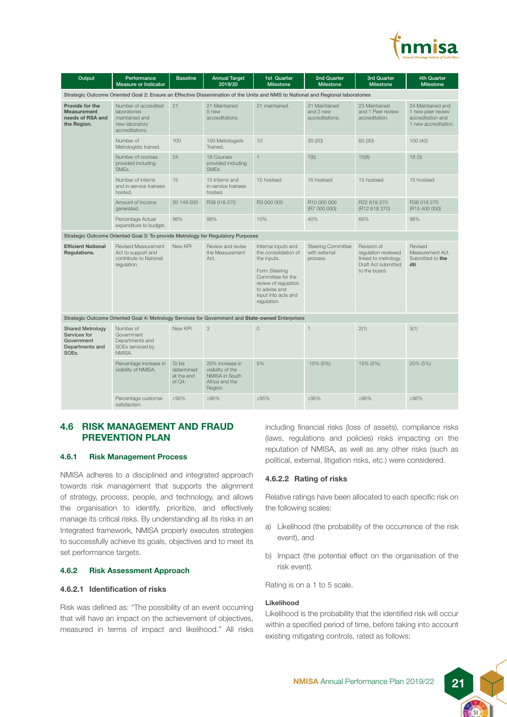

| Output                                                                            | Performance<br><b>Measure or Indicator</b>                                                                                      | <b>Baseline</b>                             | <b>Annual Target</b><br>2019/20                                                     | 1st Quarter<br><b>Milestone</b>                                                                                                                                                 | 2nd Quarter<br><b>Milestone</b>                        | 3rd Quarter<br><b>Milestone</b>                                                                    | 4th Quarter<br><b>Milestone</b>                                                     |
|-----------------------------------------------------------------------------------|---------------------------------------------------------------------------------------------------------------------------------|---------------------------------------------|-------------------------------------------------------------------------------------|---------------------------------------------------------------------------------------------------------------------------------------------------------------------------------|--------------------------------------------------------|----------------------------------------------------------------------------------------------------|-------------------------------------------------------------------------------------|
|                                                                                   | Strategic Outcome Oriented Goal 2: Ensure an Effective Dissemination of the Units and NMS to National and Regional laboratories |                                             |                                                                                     |                                                                                                                                                                                 |                                                        |                                                                                                    |                                                                                     |
| Provide for the<br><b>Measurement</b><br>needs of RSA and<br>the Region.          | Number of accredited<br>laboratories<br>maintained and<br>new laboratory<br>accreditations.                                     | 21                                          | 21 Maintained<br>5 new<br>accreditations.                                           | 21 maintained.                                                                                                                                                                  | 21 Maintained<br>and 2 new<br>accreditations.          | 23 Maintained<br>and 1 Peer review<br>accreditation.                                               | 24 Maintained and<br>1 new peer review<br>accreditation and<br>1 new accreditation. |
|                                                                                   | Number of<br>Metrologists trained.                                                                                              | 100                                         | 100 Metrologists<br>Trained.                                                        | 10                                                                                                                                                                              | 30(20)                                                 | 60 (30)                                                                                            | 100(40)                                                                             |
|                                                                                   | Number of courses<br>provided including<br>SMEs.                                                                                | 24                                          | 18 Courses<br>provided including<br>SMEs.                                           | $\mathbf{1}$                                                                                                                                                                    | 7(6)                                                   | 15(8)                                                                                              | 18(3)                                                                               |
|                                                                                   | Number of Interns<br>and in-service trainees<br>hosted.                                                                         | 15                                          | 15 Interns and<br>in-service trainees<br>hosted.                                    | 15 hostsed                                                                                                                                                                      | 15 hostsed                                             | 15 hostsed                                                                                         | 15 hostsed                                                                          |
|                                                                                   | Amount of Income<br>generated.                                                                                                  | 20 149 000                                  | R38 018 270                                                                         | B3 000 000                                                                                                                                                                      | R10 000 000<br>(R7 000 000)                            | R22 618 270<br>(R12 618 270)                                                                       | R38 018 270<br>(R15 400 000)                                                        |
|                                                                                   | Percentage Actual<br>expenditure to budget.                                                                                     | 98%                                         | 98%                                                                                 | 10%                                                                                                                                                                             | 40%                                                    | 60%                                                                                                | 98%                                                                                 |
|                                                                                   | Strategic Outcome Oriented Goal 3: To provide Metrology for Regulatory Purposes                                                 |                                             |                                                                                     |                                                                                                                                                                                 |                                                        |                                                                                                    |                                                                                     |
| <b>Efficient National</b><br>Regulations.                                         | Revised Measurement<br>Act to support and<br>contribute to National<br>regulation.                                              | New KPI                                     | Review and revise<br>the Measurement<br>Act.                                        | Internal inputs and<br>the consolidation of<br>the inputs.<br>Form Steering<br>Committee for the<br>review of regulation<br>to advise and<br>input into acts and<br>regulation. | <b>Steering Committee</b><br>with external<br>process. | Revision of<br>regulation reviewed<br>linked to metrology.<br>Draft Act submitted<br>to the board. | Revised<br>Measurement Act.<br>Submitted to the<br>dti.                             |
|                                                                                   | Strategic Outcome Oriented Goal 4: Metrology Services for Government and State-owned Enterprises                                |                                             |                                                                                     |                                                                                                                                                                                 |                                                        |                                                                                                    |                                                                                     |
| <b>Shared Metrology</b><br>Services for<br>Government<br>Departments and<br>SOEs. | Number of<br>Government<br>Departments and<br>SOEs serviced by<br>NMISA.                                                        | New KPI                                     | 3                                                                                   | $\Omega$                                                                                                                                                                        | $\overline{1}$                                         | 2(1)                                                                                               | 3(1)                                                                                |
|                                                                                   | Percentage increase in<br>visibility of NMISA.                                                                                  | To be<br>determined<br>at the end<br>of Q4. | 20% increase in<br>visibility of the<br>NMISA in South<br>Africa and the<br>Region. | 5%                                                                                                                                                                              | 10% (5%)                                               | 15% (5%)                                                                                           | 20% (5%)                                                                            |
|                                                                                   | Percentage customer<br>satisfaction.                                                                                            | $>95\%$                                     | >95%                                                                                | >95%                                                                                                                                                                            | >95%                                                   | >95%                                                                                               | $>95\%$                                                                             |

#### 4.6 RISK MANAGEMENT AND FRAUD PREVENTION PLAN

#### 4.6.1 Risk Management Process

NMISA adheres to a disciplined and integrated approach towards risk management that supports the alignment of strategy, process, people, and technology, and allows the organisation to identify, prioritize, and effectively manage its critical risks. By understanding all its risks in an Integrated framework, NMISA properly executes strategies to successfully achieve its goals, objectives and to meet its set performance targets.

#### 4.6.2 Risk Assessment Approach

#### 4.6.2.1 Identification of risks

Risk was defined as: "The possibility of an event occurring that will have an impact on the achievement of objectives, measured in terms of impact and likelihood." All risks

including financial risks (loss of assets), compliance risks (laws, regulations and policies) risks impacting on the reputation of NMISA, as well as any other risks (such as political, external, litigation risks, etc.) were considered.

#### 4.6.2.2 Rating of risks

Relative ratings have been allocated to each specific risk on the following scales:

- a) Likelihood (the probability of the occurrence of the risk event), and
- b) Impact (the potential effect on the organisation of the risk event).

Rating is on a 1 to 5 scale.

#### Likelihood

Likelihood is the probability that the identified risk will occur within a specified period of time, before taking into account existing mitigating controls, rated as follows: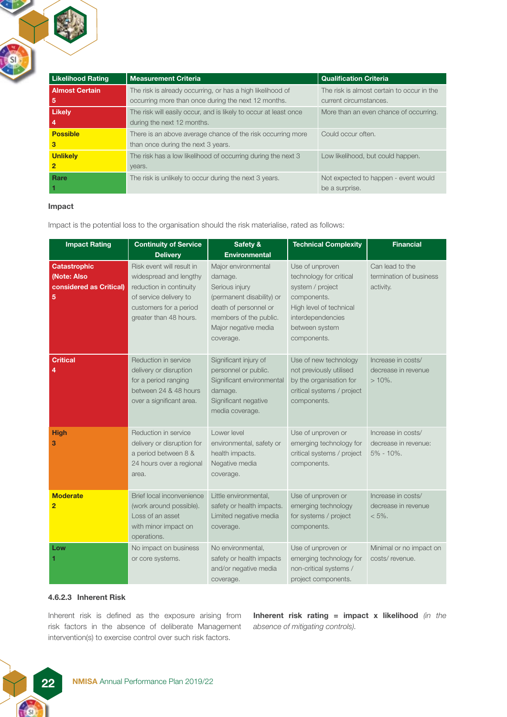| <b>Likelihood Rating</b>          | <b>Measurement Criteria</b>                                                                                       | <b>Qualification Criteria</b>                                        |
|-----------------------------------|-------------------------------------------------------------------------------------------------------------------|----------------------------------------------------------------------|
| <b>Almost Certain</b><br>5        | The risk is already occurring, or has a high likelihood of<br>occurring more than once during the next 12 months. | The risk is almost certain to occur in the<br>current circumstances. |
| Likely<br>4                       | The risk will easily occur, and is likely to occur at least once<br>during the next 12 months.                    | More than an even chance of occurring.                               |
| <b>Possible</b><br>3              | There is an above average chance of the risk occurring more<br>than once during the next 3 years.                 | Could occur often.                                                   |
| <b>Unlikely</b><br>$\overline{2}$ | The risk has a low likelihood of occurring during the next 3<br>years.                                            | Low likelihood, but could happen.                                    |
| Rare                              | The risk is unlikely to occur during the next 3 years.                                                            | Not expected to happen - event would<br>be a surprise.               |

#### Impact

Impact is the potential loss to the organisation should the risk materialise, rated as follows:

| <b>Impact Rating</b>                                               | <b>Continuity of Service</b><br><b>Delivery</b>                                                                                                              | Safety &<br><b>Environmental</b>                                                                                                                                      | <b>Technical Complexity</b>                                                                                                                                    | <b>Financial</b>                                             |
|--------------------------------------------------------------------|--------------------------------------------------------------------------------------------------------------------------------------------------------------|-----------------------------------------------------------------------------------------------------------------------------------------------------------------------|----------------------------------------------------------------------------------------------------------------------------------------------------------------|--------------------------------------------------------------|
| <b>Catastrophic</b><br>(Note: Also<br>considered as Critical)<br>5 | Risk event will result in<br>widespread and lengthy<br>reduction in continuity<br>of service delivery to<br>customers for a period<br>greater than 48 hours. | Major environmental<br>damage.<br>Serious injury<br>(permanent disability) or<br>death of personnel or<br>members of the public.<br>Major negative media<br>coverage. | Use of unproven<br>technology for critical<br>system / project<br>components.<br>High level of technical<br>interdependencies<br>between system<br>components. | Can lead to the<br>termination of business<br>activity.      |
| <b>Critical</b><br>4                                               | Reduction in service<br>delivery or disruption<br>for a period ranging<br>between 24 & 48 hours<br>over a significant area.                                  | Significant injury of<br>personnel or public.<br>Significant environmental<br>damage.<br>Significant negative<br>media coverage.                                      | Use of new technology<br>not previously utilised<br>by the organisation for<br>critical systems / project<br>components.                                       | Increase in costs/<br>decrease in revenue<br>$>10\%$ .       |
| <b>High</b><br>3                                                   | Reduction in service<br>delivery or disruption for<br>a period between 8 &<br>24 hours over a regional<br>area.                                              | Lower level<br>environmental, safety or<br>health impacts.<br>Negative media<br>coverage.                                                                             | Use of unproven or<br>emerging technology for<br>critical systems / project<br>components.                                                                     | Increase in costs/<br>decrease in revenue:<br>$5\% - 10\%$ . |
| <b>Moderate</b><br>$\overline{2}$                                  | Brief local inconvenience<br>(work around possible).<br>Loss of an asset<br>with minor impact on<br>operations.                                              | Little environmental,<br>safety or health impacts.<br>Limited negative media<br>coverage.                                                                             | Use of unproven or<br>emerging technology<br>for systems / project<br>components.                                                                              | Increase in costs/<br>decrease in revenue<br>$< 5\%$ .       |
| Low<br>1                                                           | No impact on business<br>or core systems.                                                                                                                    | No environmental,<br>safety or health impacts<br>and/or negative media<br>coverage.                                                                                   | Use of unproven or<br>emerging technology for<br>non-critical systems /<br>project components.                                                                 | Minimal or no impact on<br>costs/revenue.                    |

#### 4.6.2.3 Inherent Risk

Inherent risk is defined as the exposure arising from risk factors in the absence of deliberate Management intervention(s) to exercise control over such risk factors.

Inherent risk rating  $=$  impact x likelihood (in the absence of mitigating controls).

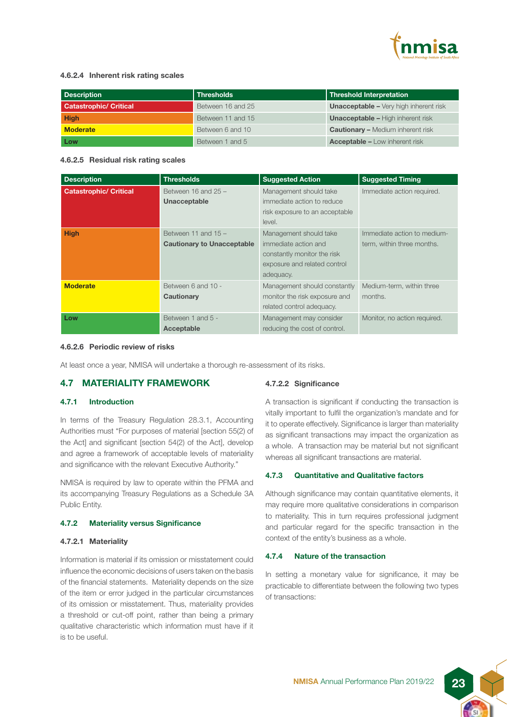

#### 4.6.2.4 Inherent risk rating scales

| <b>Description</b>            | <b>Thresholds</b> | Threshold Interpretation                      |
|-------------------------------|-------------------|-----------------------------------------------|
| <b>Catastrophic/ Critical</b> | Between 16 and 25 | <b>Unacceptable - Very high inherent risk</b> |
| <b>High</b>                   | Between 11 and 15 | <b>Unacceptable - High inherent risk</b>      |
| <b>Moderate</b>               | Between 6 and 10  | <b>Cautionary - Medium inherent risk</b>      |
| Low                           | Between 1 and 5   | <b>Acceptable - Low inherent risk</b>         |

#### 4.6.2.5 Residual risk rating scales

| <b>Description</b>            | <b>Thresholds</b>                                          | <b>Suggested Action</b>                                                                                                    | <b>Suggested Timing</b>                                   |
|-------------------------------|------------------------------------------------------------|----------------------------------------------------------------------------------------------------------------------------|-----------------------------------------------------------|
| <b>Catastrophic/ Critical</b> | Between 16 and 25 -<br>Unacceptable                        | Management should take<br>immediate action to reduce<br>risk exposure to an acceptable<br>level.                           | Immediate action required.                                |
| <b>High</b>                   | Between 11 and $15 -$<br><b>Cautionary to Unacceptable</b> | Management should take<br>immediate action and<br>constantly monitor the risk<br>exposure and related control<br>adequacy. | Immediate action to medium-<br>term, within three months. |
| <b>Moderate</b>               | Between 6 and 10 -<br>Cautionary                           | Management should constantly<br>monitor the risk exposure and<br>related control adequacy.                                 | Medium-term, within three<br>months.                      |
| Low                           | Between 1 and 5 -<br>Acceptable                            | Management may consider<br>reducing the cost of control.                                                                   | Monitor, no action required.                              |

#### 4.6.2.6 Periodic review of risks

At least once a year, NMISA will undertake a thorough re-assessment of its risks.

#### 4.7 MATERIALITY FRAMEWORK

#### 4.7.1 Introduction

In terms of the Treasury Regulation 28.3.1, Accounting Authorities must "For purposes of material [section 55(2) of the Act] and significant [section 54(2) of the Act], develop and agree a framework of acceptable levels of materiality and significance with the relevant Executive Authority."

NMISA is required by law to operate within the PFMA and its accompanying Treasury Regulations as a Schedule 3A Public Entity.

#### 4.7.2 Materiality versus Significance

#### 4.7.2.1 Materiality

Information is material if its omission or misstatement could influence the economic decisions of users taken on the basis of the financial statements. Materiality depends on the size of the item or error judged in the particular circumstances of its omission or misstatement. Thus, materiality provides a threshold or cut-off point, rather than being a primary qualitative characteristic which information must have if it is to be useful.

#### 4.7.2.2 Significance

A transaction is significant if conducting the transaction is vitally important to fulfil the organization's mandate and for it to operate effectively. Significance is larger than materiality as significant transactions may impact the organization as a whole. A transaction may be material but not significant whereas all significant transactions are material.

#### 4.7.3 Quantitative and Qualitative factors

Although significance may contain quantitative elements, it may require more qualitative considerations in comparison to materiality. This in turn requires professional judgment and particular regard for the specific transaction in the context of the entity's business as a whole.

#### 4.7.4 Nature of the transaction

In setting a monetary value for significance, it may be practicable to differentiate between the following two types of transactions: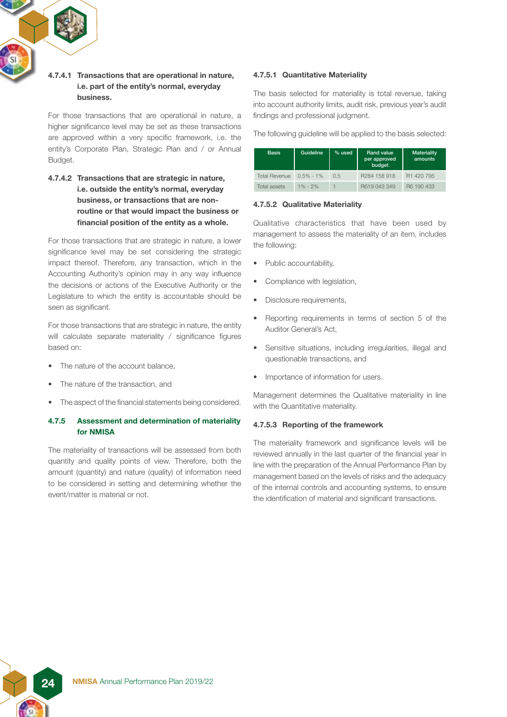#### 4.7.4.1 Transactions that are operational in nature, i.e. part of the entity's normal, everyday business.

For those transactions that are operational in nature, a higher significance level may be set as these transactions are approved within a very specific framework, i.e. the entity's Corporate Plan, Strategic Plan and / or Annual Budget.

#### 4.7.4.2 Transactions that are strategic in nature, i.e. outside the entity's normal, everyday business, or transactions that are nonroutine or that would impact the business or financial position of the entity as a whole.

For those transactions that are strategic in nature, a lower significance level may be set considering the strategic impact thereof. Therefore, any transaction, which in the Accounting Authority's opinion may in any way influence the decisions or actions of the Executive Authority or the Legislature to which the entity is accountable should be seen as significant.

For those transactions that are strategic in nature, the entity will calculate separate materiality / significance figures based on:

- The nature of the account balance.
- The nature of the transaction, and
- The aspect of the financial statements being considered.

#### 4.7.5 Assessment and determination of materiality for NMISA

The materiality of transactions will be assessed from both quantity and quality points of view. Therefore, both the amount (quantity) and nature (quality) of information need to be considered in setting and determining whether the event/matter is material or not.

#### 4.7.5.1 Quantitative Materiality

The basis selected for materiality is total revenue, taking into account authority limits, audit risk, previous year's audit findings and professional judgment.

The following guideline will be applied to the basis selected:

| <b>Basis</b>  | Guideline     | $%$ used | <b>Rand value</b><br>per approved<br>budget | <b>Materiality</b><br>amounts |
|---------------|---------------|----------|---------------------------------------------|-------------------------------|
| Total Revenue | $0.5\% - 1\%$ | 0.5      | R284 158 918                                | R1 420 795                    |
| Total assets  | $1\% - 2\%$   |          | R619043349                                  | R6 190 433                    |

#### 4.7.5.2 Qualitative Materiality

Qualitative characteristics that have been used by management to assess the materiality of an item, includes the following:

- Public accountability,
- Compliance with legislation,
- Disclosure requirements,
- Reporting requirements in terms of section 5 of the Auditor General's Act,
- Sensitive situations, including irregularities, illegal and questionable transactions, and
- Importance of information for users.

Management determines the Qualitative materiality in line with the Quantitative materiality.

#### 4.7.5.3 Reporting of the framework

The materiality framework and significance levels will be reviewed annually in the last quarter of the financial year in line with the preparation of the Annual Performance Plan by management based on the levels of risks and the adequacy of the internal controls and accounting systems, to ensure the identification of material and significant transactions.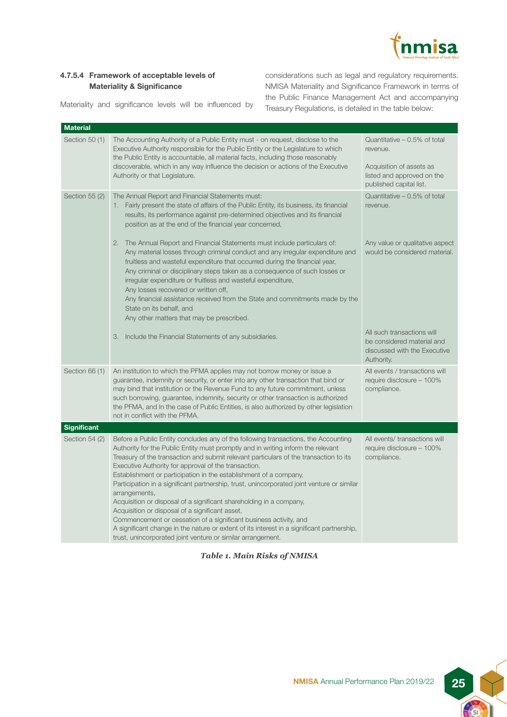

#### 4.7.5.4 Framework of acceptable levels of Materiality & Significance

Materiality and significance levels will be influenced by

considerations such as legal and regulatory requirements. NMISA Materiality and Significance Framework in terms of the Public Finance Management Act and accompanying Treasury Regulations, is detailed in the table below:

| <b>Material</b>    |                                                                                                                                                                                                                                                                                                                                                                                                                                                                                                                                                                                                                                                                                                                                                                                                                                                                         |                                                                                                                                 |
|--------------------|-------------------------------------------------------------------------------------------------------------------------------------------------------------------------------------------------------------------------------------------------------------------------------------------------------------------------------------------------------------------------------------------------------------------------------------------------------------------------------------------------------------------------------------------------------------------------------------------------------------------------------------------------------------------------------------------------------------------------------------------------------------------------------------------------------------------------------------------------------------------------|---------------------------------------------------------------------------------------------------------------------------------|
| Section 50 (1)     | The Accounting Authority of a Public Entity must - on request, disclose to the<br>Executive Authority responsible for the Public Entity or the Legislature to which<br>the Public Entity is accountable, all material facts, including those reasonably<br>discoverable, which in any way influence the decision or actions of the Executive<br>Authority or that Legislature.                                                                                                                                                                                                                                                                                                                                                                                                                                                                                          | Quantitative $-0.5\%$ of total<br>revenue.<br>Acquisition of assets as<br>listed and approved on the<br>published capital list. |
| Section 55 (2)     | The Annual Report and Financial Statements must:<br>1. Fairly present the state of affairs of the Public Entity, its business, its financial<br>results, its performance against pre-determined objectives and its financial<br>position as at the end of the financial year concerned,                                                                                                                                                                                                                                                                                                                                                                                                                                                                                                                                                                                 | Quantitative – 0.5% of total<br>revenue.                                                                                        |
|                    | 2. The Annual Report and Financial Statements must include particulars of:<br>Any material losses through criminal conduct and any irregular expenditure and<br>fruitless and wasteful expenditure that occurred during the financial year,<br>Any criminal or disciplinary steps taken as a consequence of such losses or<br>irregular expenditure or fruitless and wasteful expenditure,<br>Any losses recovered or written off,<br>Any financial assistance received from the State and commitments made by the<br>State on its behalf, and<br>Any other matters that may be prescribed.                                                                                                                                                                                                                                                                             | Any value or qualitative aspect<br>would be considered material.                                                                |
|                    | 3. Include the Financial Statements of any subsidiaries.                                                                                                                                                                                                                                                                                                                                                                                                                                                                                                                                                                                                                                                                                                                                                                                                                | All such transactions will<br>be considered material and<br>discussed with the Executive<br>Authority.                          |
| Section 66 (1)     | An institution to which the PFMA applies may not borrow money or issue a<br>guarantee, indemnity or security, or enter into any other transaction that bind or<br>may bind that institution or the Revenue Fund to any future commitment, unless<br>such borrowing, guarantee, indemnity, security or other transaction is authorized<br>the PFMA, and In the case of Public Entities, is also authorized by other legislation<br>not in conflict with the PFMA.                                                                                                                                                                                                                                                                                                                                                                                                        | All events / transactions will<br>require disclosure - 100%<br>compliance.                                                      |
| <b>Significant</b> |                                                                                                                                                                                                                                                                                                                                                                                                                                                                                                                                                                                                                                                                                                                                                                                                                                                                         |                                                                                                                                 |
| Section 54 (2)     | Before a Public Entity concludes any of the following transactions, the Accounting<br>Authority for the Public Entity must promptly and in writing inform the relevant<br>Treasury of the transaction and submit relevant particulars of the transaction to its<br>Executive Authority for approval of the transaction.<br>Establishment or participation in the establishment of a company,<br>Participation in a significant partnership, trust, unincorporated joint venture or similar<br>arrangements,<br>Acquisition or disposal of a significant shareholding in a company,<br>Acquisition or disposal of a significant asset,<br>Commencement or cessation of a significant business activity, and<br>A significant change in the nature or extent of its interest in a significant partnership,<br>trust, unincorporated joint venture or similar arrangement. | All events/ transactions will<br>require disclosure - 100%<br>compliance.                                                       |

*Table 1. Main Risks of NMISA*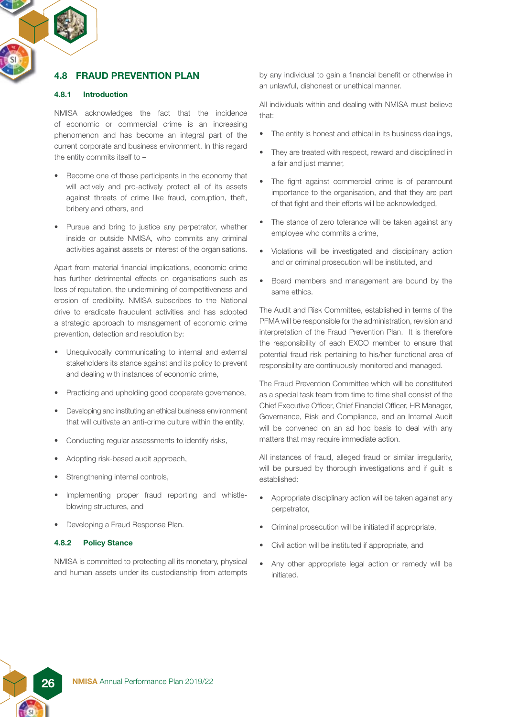#### 4.8 FRAUD PREVENTION PLAN

#### 4.8.1 Introduction

NMISA acknowledges the fact that the incidence of economic or commercial crime is an increasing phenomenon and has become an integral part of the current corporate and business environment. In this regard the entity commits itself to –

- Become one of those participants in the economy that will actively and pro-actively protect all of its assets against threats of crime like fraud, corruption, theft, bribery and others, and
- Pursue and bring to justice any perpetrator, whether inside or outside NMISA, who commits any criminal activities against assets or interest of the organisations.

Apart from material financial implications, economic crime has further detrimental effects on organisations such as loss of reputation, the undermining of competitiveness and erosion of credibility. NMISA subscribes to the National drive to eradicate fraudulent activities and has adopted a strategic approach to management of economic crime prevention, detection and resolution by:

- Unequivocally communicating to internal and external stakeholders its stance against and its policy to prevent and dealing with instances of economic crime,
- Practicing and upholding good cooperate governance,
- Developing and instituting an ethical business environment that will cultivate an anti-crime culture within the entity,
- Conducting regular assessments to identify risks,
- Adopting risk-based audit approach,
- Strengthening internal controls,
- Implementing proper fraud reporting and whistleblowing structures, and
- Developing a Fraud Response Plan.

#### 4.8.2 Policy Stance

NMISA is committed to protecting all its monetary, physical and human assets under its custodianship from attempts by any individual to gain a financial benefit or otherwise in an unlawful, dishonest or unethical manner.

All individuals within and dealing with NMISA must believe that:

- The entity is honest and ethical in its business dealings,
- They are treated with respect, reward and disciplined in a fair and just manner,
- The fight against commercial crime is of paramount importance to the organisation, and that they are part of that fight and their efforts will be acknowledged,
- The stance of zero tolerance will be taken against any employee who commits a crime,
- Violations will be investigated and disciplinary action and or criminal prosecution will be instituted, and
- Board members and management are bound by the same ethics.

The Audit and Risk Committee, established in terms of the PFMA will be responsible for the administration, revision and interpretation of the Fraud Prevention Plan. It is therefore the responsibility of each EXCO member to ensure that potential fraud risk pertaining to his/her functional area of responsibility are continuously monitored and managed.

The Fraud Prevention Committee which will be constituted as a special task team from time to time shall consist of the Chief Executive Officer, Chief Financial Officer, HR Manager, Governance, Risk and Compliance, and an Internal Audit will be convened on an ad hoc basis to deal with any matters that may require immediate action.

All instances of fraud, alleged fraud or similar irregularity, will be pursued by thorough investigations and if guilt is established:

- Appropriate disciplinary action will be taken against any perpetrator,
- Criminal prosecution will be initiated if appropriate,
- Civil action will be instituted if appropriate, and
- Any other appropriate legal action or remedy will be initiated.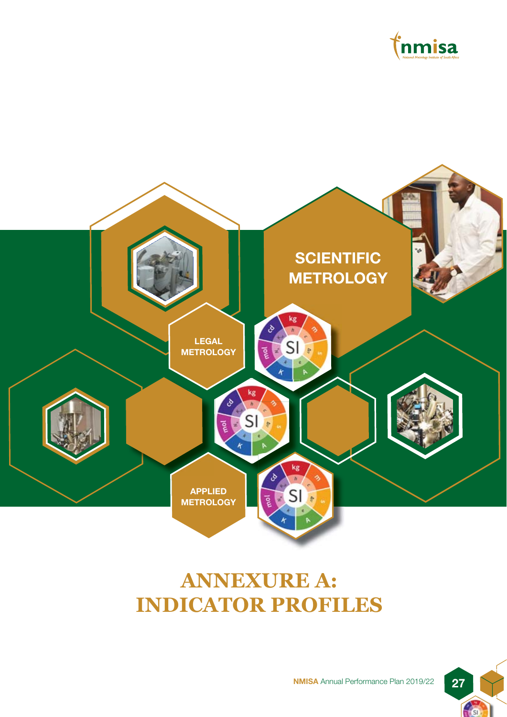



## **ANNEXURE A: INDICATOR PROFILES**



**NMISA** Annual Performance Plan 2019/22 27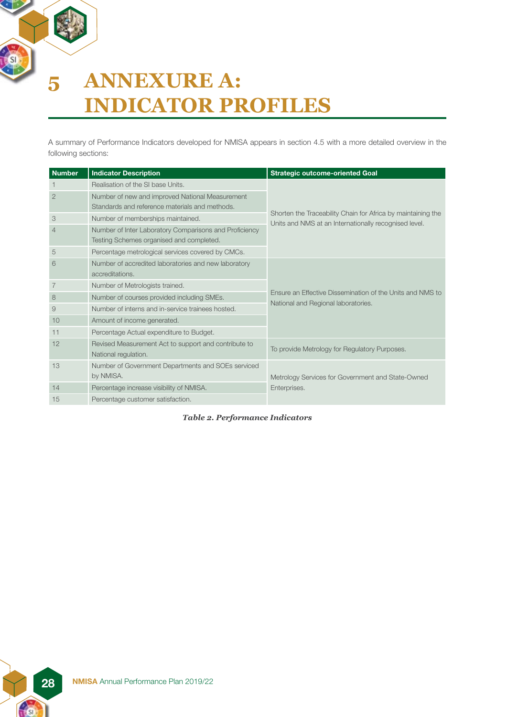**5 ANNEXURE A: INDICATOR PROFILES**

A summary of Performance Indicators developed for NMISA appears in section 4.5 with a more detailed overview in the following sections:

| <b>Number</b>  | <b>Indicator Description</b>                           | <b>Strategic outcome-oriented Goal</b>                                                                                |  |
|----------------|--------------------------------------------------------|-----------------------------------------------------------------------------------------------------------------------|--|
| 1              | Realisation of the SI base Units.                      |                                                                                                                       |  |
| $\overline{2}$ | Number of new and improved National Measurement        |                                                                                                                       |  |
|                | Standards and reference materials and methods.         |                                                                                                                       |  |
| 3              | Number of memberships maintained.                      | Shorten the Traceability Chain for Africa by maintaining the<br>Units and NMS at an Internationally recognised level. |  |
| 4              | Number of Inter Laboratory Comparisons and Proficiency |                                                                                                                       |  |
|                | Testing Schemes organised and completed.               |                                                                                                                       |  |
| 5              | Percentage metrological services covered by CMCs.      |                                                                                                                       |  |
| 6              | Number of accredited laboratories and new laboratory   |                                                                                                                       |  |
|                | accreditations.                                        |                                                                                                                       |  |
| $\overline{7}$ | Number of Metrologists trained.                        |                                                                                                                       |  |
| 8              | Number of courses provided including SMEs.             | Ensure an Effective Dissemination of the Units and NMS to<br>National and Regional laboratories.                      |  |
| 9              | Number of interns and in-service trainees hosted.      |                                                                                                                       |  |
| 10             | Amount of income generated.                            |                                                                                                                       |  |
| 11             | Percentage Actual expenditure to Budget.               |                                                                                                                       |  |
| 12             | Revised Measurement Act to support and contribute to   |                                                                                                                       |  |
|                | National regulation.                                   | To provide Metrology for Regulatory Purposes.                                                                         |  |
| 13             | Number of Government Departments and SOEs serviced     |                                                                                                                       |  |
|                | by NMISA.                                              | Metrology Services for Government and State-Owned                                                                     |  |
| 14             | Percentage increase visibility of NMISA.               | Enterprises.                                                                                                          |  |
| 15             | Percentage customer satisfaction.                      |                                                                                                                       |  |

*Table 2. Performance Indicators*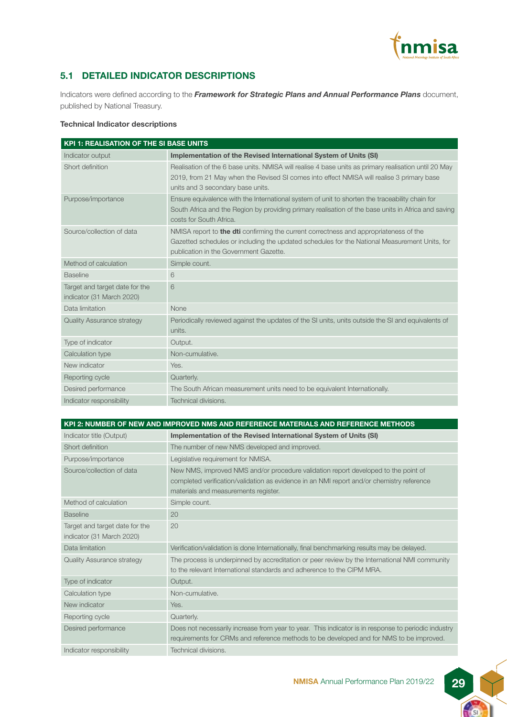

### 5.1 DETAILED INDICATOR DESCRIPTIONS

Indicators were defined according to the Framework for Strategic Plans and Annual Performance Plans document, published by National Treasury.

#### Technical Indicator descriptions

| KPI 1: REALISATION OF THE SI BASE UNITS                     |                                                                                                                                                                                                                                         |
|-------------------------------------------------------------|-----------------------------------------------------------------------------------------------------------------------------------------------------------------------------------------------------------------------------------------|
| Indicator output                                            | Implementation of the Revised International System of Units (SI)                                                                                                                                                                        |
| Short definition                                            | Realisation of the 6 base units. NMISA will realise 4 base units as primary realisation until 20 May<br>2019, from 21 May when the Revised SI comes into effect NMISA will realise 3 primary base<br>units and 3 secondary base units.  |
| Purpose/importance                                          | Ensure equivalence with the International system of unit to shorten the traceability chain for<br>South Africa and the Region by providing primary realisation of the base units in Africa and saving<br>costs for South Africa.        |
| Source/collection of data                                   | NMISA report to <b>the dti</b> confirming the current correctness and appropriateness of the<br>Gazetted schedules or including the updated schedules for the National Measurement Units, for<br>publication in the Government Gazette. |
| Method of calculation                                       | Simple count.                                                                                                                                                                                                                           |
| <b>Baseline</b>                                             | 6                                                                                                                                                                                                                                       |
| Target and target date for the<br>indicator (31 March 2020) | 6                                                                                                                                                                                                                                       |
| Data limitation                                             | None                                                                                                                                                                                                                                    |
| <b>Quality Assurance strategy</b>                           | Periodically reviewed against the updates of the SI units, units outside the SI and equivalents of<br>units.                                                                                                                            |
| Type of indicator                                           | Output.                                                                                                                                                                                                                                 |
| Calculation type                                            | Non-cumulative.                                                                                                                                                                                                                         |
| New indicator                                               | Yes.                                                                                                                                                                                                                                    |
| Reporting cycle                                             | Quarterly.                                                                                                                                                                                                                              |
| Desired performance                                         | The South African measurement units need to be equivalent Internationally.                                                                                                                                                              |
| Indicator responsibility                                    | Technical divisions.                                                                                                                                                                                                                    |

|                                                             | KPI 2: NUMBER OF NEW AND IMPROVED NMS AND REFERENCE MATERIALS AND REFERENCE METHODS                                                                                                                                     |
|-------------------------------------------------------------|-------------------------------------------------------------------------------------------------------------------------------------------------------------------------------------------------------------------------|
| Indicator title (Output)                                    | Implementation of the Revised International System of Units (SI)                                                                                                                                                        |
| Short definition                                            | The number of new NMS developed and improved.                                                                                                                                                                           |
| Purpose/importance                                          | Legislative requirement for NMISA.                                                                                                                                                                                      |
| Source/collection of data                                   | New NMS, improved NMS and/or procedure validation report developed to the point of<br>completed verification/validation as evidence in an NMI report and/or chemistry reference<br>materials and measurements register. |
| Method of calculation                                       | Simple count.                                                                                                                                                                                                           |
| <b>Baseline</b>                                             | 20                                                                                                                                                                                                                      |
| Target and target date for the<br>indicator (31 March 2020) | 20                                                                                                                                                                                                                      |
| Data limitation                                             | Verification/validation is done Internationally, final benchmarking results may be delayed.                                                                                                                             |
| <b>Quality Assurance strategy</b>                           | The process is underpinned by accreditation or peer review by the International NMI community<br>to the relevant International standards and adherence to the CIPM MRA.                                                 |
| Type of indicator                                           | Output.                                                                                                                                                                                                                 |
| Calculation type                                            | Non-cumulative.                                                                                                                                                                                                         |
| New indicator                                               | Yes.                                                                                                                                                                                                                    |
| Reporting cycle                                             | Quarterly.                                                                                                                                                                                                              |
| Desired performance                                         | Does not necessarily increase from year to year. This indicator is in response to periodic industry<br>requirements for CRMs and reference methods to be developed and for NMS to be improved.                          |
| Indicator responsibility                                    | Technical divisions.                                                                                                                                                                                                    |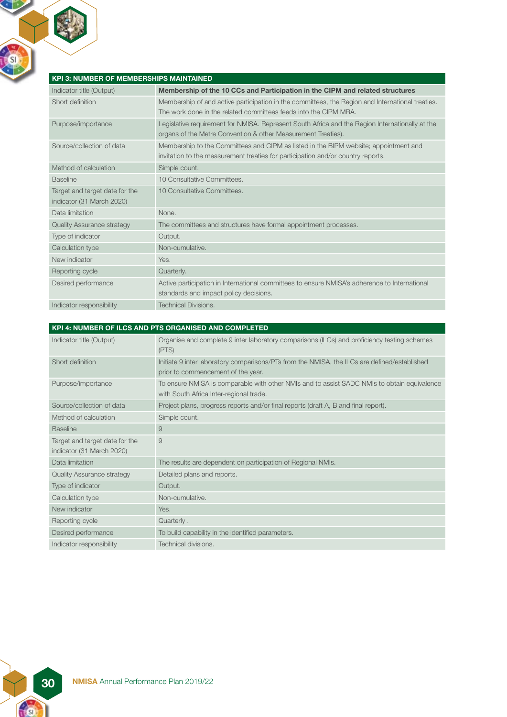| <b>KPI 3: NUMBER OF MEMBERSHIPS MAINTAINED</b>              |                                                                                                                                                                          |
|-------------------------------------------------------------|--------------------------------------------------------------------------------------------------------------------------------------------------------------------------|
| Indicator title (Output)                                    | Membership of the 10 CCs and Participation in the CIPM and related structures                                                                                            |
| Short definition                                            | Membership of and active participation in the committees, the Region and International treaties.<br>The work done in the related committees feeds into the CIPM MRA.     |
| Purpose/importance                                          | Legislative requirement for NMISA. Represent South Africa and the Region Internationally at the<br>organs of the Metre Convention & other Measurement Treaties).         |
| Source/collection of data                                   | Membership to the Committees and CIPM as listed in the BIPM website; appointment and<br>invitation to the measurement treaties for participation and/or country reports. |
| Method of calculation                                       | Simple count.                                                                                                                                                            |
| <b>Baseline</b>                                             | 10 Consultative Committees.                                                                                                                                              |
| Target and target date for the<br>indicator (31 March 2020) | 10 Consultative Committees.                                                                                                                                              |
| Data limitation                                             | None.                                                                                                                                                                    |
| <b>Quality Assurance strategy</b>                           | The committees and structures have formal appointment processes.                                                                                                         |
| Type of indicator                                           | Output.                                                                                                                                                                  |
| Calculation type                                            | Non-cumulative.                                                                                                                                                          |
| New indicator                                               | Yes.                                                                                                                                                                     |
| Reporting cycle                                             | Quarterly.                                                                                                                                                               |
| Desired performance                                         | Active participation in International committees to ensure NMISA's adherence to International<br>standards and impact policy decisions.                                  |
| Indicator responsibility                                    | <b>Technical Divisions.</b>                                                                                                                                              |

|                                                             | KPI 4: NUMBER OF ILCS AND PTS ORGANISED AND COMPLETED                                                                                  |
|-------------------------------------------------------------|----------------------------------------------------------------------------------------------------------------------------------------|
| Indicator title (Output)                                    | Organise and complete 9 inter laboratory comparisons (ILCs) and proficiency testing schemes<br>(PTS)                                   |
| Short definition                                            | Initiate 9 inter laboratory comparisons/PTs from the NMISA, the ILCs are defined/established<br>prior to commencement of the year.     |
| Purpose/importance                                          | To ensure NMISA is comparable with other NMIs and to assist SADC NMIs to obtain equivalence<br>with South Africa Inter-regional trade. |
| Source/collection of data                                   | Project plans, progress reports and/or final reports (draft A, B and final report).                                                    |
| Method of calculation                                       | Simple count.                                                                                                                          |
| <b>Baseline</b>                                             | 9                                                                                                                                      |
| Target and target date for the<br>indicator (31 March 2020) | 9                                                                                                                                      |
| Data limitation                                             | The results are dependent on participation of Regional NMIs.                                                                           |
| <b>Quality Assurance strategy</b>                           | Detailed plans and reports.                                                                                                            |
| Type of indicator                                           | Output.                                                                                                                                |
| Calculation type                                            | Non-cumulative.                                                                                                                        |
| New indicator                                               | Yes.                                                                                                                                   |
| Reporting cycle                                             | Quarterly.                                                                                                                             |
| Desired performance                                         | To build capability in the identified parameters.                                                                                      |
| Indicator responsibility                                    | Technical divisions.                                                                                                                   |



 $\begin{pmatrix} 1 & 1 \\ 0 & 1 \end{pmatrix}$ 

J

GI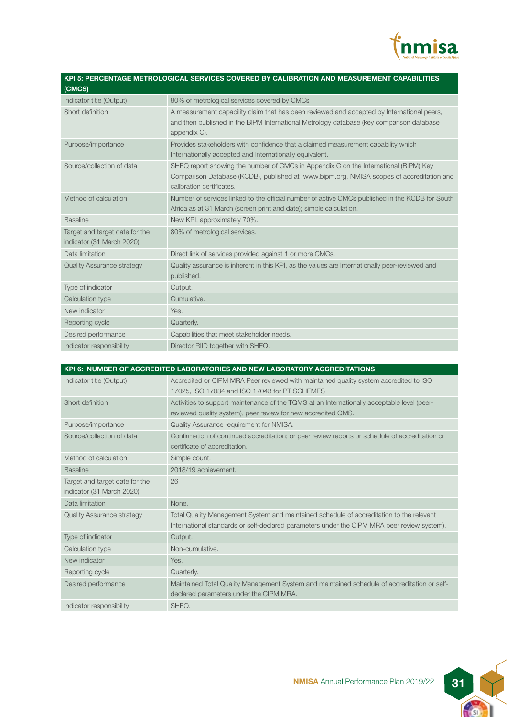

| KPI 5: PERCENTAGE METROLOGICAL SERVICES COVERED BY CALIBRATION AND MEASUREMENT CAPABILITIES<br>(CMCS) |                                                                                                                                                                                                               |
|-------------------------------------------------------------------------------------------------------|---------------------------------------------------------------------------------------------------------------------------------------------------------------------------------------------------------------|
| Indicator title (Output)                                                                              | 80% of metrological services covered by CMCs                                                                                                                                                                  |
| Short definition                                                                                      | A measurement capability claim that has been reviewed and accepted by International peers,<br>and then published in the BIPM International Metrology database (key comparison database<br>appendix C).        |
| Purpose/importance                                                                                    | Provides stakeholders with confidence that a claimed measurement capability which<br>Internationally accepted and Internationally equivalent.                                                                 |
| Source/collection of data                                                                             | SHEQ report showing the number of CMCs in Appendix C on the International (BIPM) Key<br>Comparison Database (KCDB), published at www.bipm.org, NMISA scopes of accreditation and<br>calibration certificates. |
| Method of calculation                                                                                 | Number of services linked to the official number of active CMCs published in the KCDB for South<br>Africa as at 31 March (screen print and date); simple calculation.                                         |
| <b>Baseline</b>                                                                                       | New KPI, approximately 70%.                                                                                                                                                                                   |
| Target and target date for the<br>indicator (31 March 2020)                                           | 80% of metrological services.                                                                                                                                                                                 |
| Data limitation                                                                                       | Direct link of services provided against 1 or more CMCs.                                                                                                                                                      |
| <b>Quality Assurance strategy</b>                                                                     | Quality assurance is inherent in this KPI, as the values are Internationally peer-reviewed and<br>published.                                                                                                  |
| Type of indicator                                                                                     | Output.                                                                                                                                                                                                       |
| Calculation type                                                                                      | Cumulative.                                                                                                                                                                                                   |
| New indicator                                                                                         | Yes.                                                                                                                                                                                                          |
| Reporting cycle                                                                                       | Quarterly.                                                                                                                                                                                                    |
| Desired performance                                                                                   | Capabilities that meet stakeholder needs.                                                                                                                                                                     |
| Indicator responsibility                                                                              | Director RIID together with SHEQ.                                                                                                                                                                             |

|                                                             | KPI 6: NUMBER OF ACCREDITED LABORATORIES AND NEW LABORATORY ACCREDITATIONS                                                                                                              |
|-------------------------------------------------------------|-----------------------------------------------------------------------------------------------------------------------------------------------------------------------------------------|
| Indicator title (Output)                                    | Accredited or CIPM MRA Peer reviewed with maintained quality system accredited to ISO<br>17025, ISO 17034 and ISO 17043 for PT SCHEMES                                                  |
| Short definition                                            | Activities to support maintenance of the TQMS at an Internationally acceptable level (peer-<br>reviewed quality system), peer review for new accredited QMS.                            |
| Purpose/importance                                          | Quality Assurance requirement for NMISA.                                                                                                                                                |
| Source/collection of data                                   | Confirmation of continued accreditation; or peer review reports or schedule of accreditation or<br>certificate of accreditation.                                                        |
| Method of calculation                                       | Simple count.                                                                                                                                                                           |
| <b>Baseline</b>                                             | 2018/19 achievement.                                                                                                                                                                    |
| Target and target date for the<br>indicator (31 March 2020) | 26                                                                                                                                                                                      |
| Data limitation                                             | None.                                                                                                                                                                                   |
| <b>Quality Assurance strategy</b>                           | Total Quality Management System and maintained schedule of accreditation to the relevant<br>International standards or self-declared parameters under the CIPM MRA peer review system). |
| Type of indicator                                           | Output.                                                                                                                                                                                 |
| Calculation type                                            | Non-cumulative.                                                                                                                                                                         |
| New indicator                                               | Yes.                                                                                                                                                                                    |
| Reporting cycle                                             | Quarterly.                                                                                                                                                                              |
| Desired performance                                         | Maintained Total Quality Management System and maintained schedule of accreditation or self-<br>declared parameters under the CIPM MRA.                                                 |
| Indicator responsibility                                    | SHEQ.                                                                                                                                                                                   |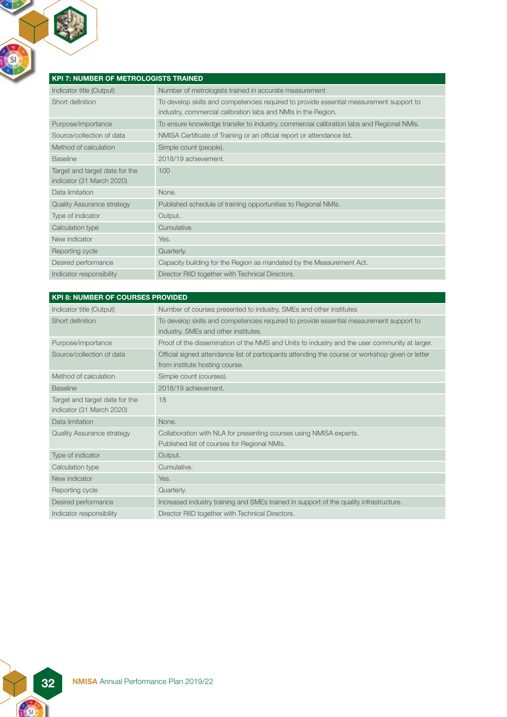| <b>KPI 7: NUMBER OF METROLOGISTS TRAINED</b>                |                                                                                                                                                          |
|-------------------------------------------------------------|----------------------------------------------------------------------------------------------------------------------------------------------------------|
| Indicator title (Output)                                    | Number of metrologists trained in accurate measurement                                                                                                   |
| Short definition                                            | To develop skills and competencies required to provide essential measurement support to<br>industry, commercial calibration labs and NMIs in the Region. |
| Purpose/importance                                          | To ensure knowledge transfer to industry, commercial calibration labs and Regional NMIs.                                                                 |
| Source/collection of data                                   | NMISA Certificate of Training or an official report or attendance list.                                                                                  |
| Method of calculation                                       | Simple count (people).                                                                                                                                   |
| <b>Baseline</b>                                             | 2018/19 achievement.                                                                                                                                     |
| Target and target date for the<br>indicator (31 March 2020) | 100                                                                                                                                                      |
| Data limitation                                             | None.                                                                                                                                                    |
| <b>Quality Assurance strategy</b>                           | Published schedule of training opportunities to Regional NMIs.                                                                                           |
| Type of indicator                                           | Output.                                                                                                                                                  |
| Calculation type                                            | Cumulative.                                                                                                                                              |
| New indicator                                               | Yes.                                                                                                                                                     |
| Reporting cycle                                             | Quarterly.                                                                                                                                               |
| Desired performance                                         | Capacity building for the Region as mandated by the Measurement Act.                                                                                     |
| Indicator responsibility                                    | Director RIID together with Technical Directors.                                                                                                         |

| KPI 8: NUMBER OF COURSES PROVIDED                           |                                                                                                                                    |
|-------------------------------------------------------------|------------------------------------------------------------------------------------------------------------------------------------|
| Indicator title (Output)                                    | Number of courses presented to industry, SMEs and other institutes                                                                 |
| Short definition                                            | To develop skills and competencies required to provide essential measurement support to<br>industry, SMEs and other institutes.    |
| Purpose/importance                                          | Proof of the dissemination of the NMS and Units to industry and the user community at larger.                                      |
| Source/collection of data                                   | Official signed attendance list of participants attending the course or workshop given or letter<br>from institute hosting course. |
| Method of calculation                                       | Simple count (courses).                                                                                                            |
| <b>Baseline</b>                                             | 2018/19 achievement.                                                                                                               |
| Target and target date for the<br>indicator (31 March 2020) | 18                                                                                                                                 |
| Data limitation                                             | None.                                                                                                                              |
| <b>Quality Assurance strategy</b>                           | Collaboration with NLA for presenting courses using NMISA experts.<br>Published list of courses for Regional NMIs.                 |
| Type of indicator                                           | Output.                                                                                                                            |
| Calculation type                                            | Cumulative.                                                                                                                        |
| New indicator                                               | Yes.                                                                                                                               |
| Reporting cycle                                             | Quarterly.                                                                                                                         |
| Desired performance                                         | Increased industry training and SMEs trained in support of the quality infrastructure.                                             |
| Indicator responsibility                                    | Director RIID together with Technical Directors.                                                                                   |

491

ਧ

**S** 

 $\mathbb{R}^2$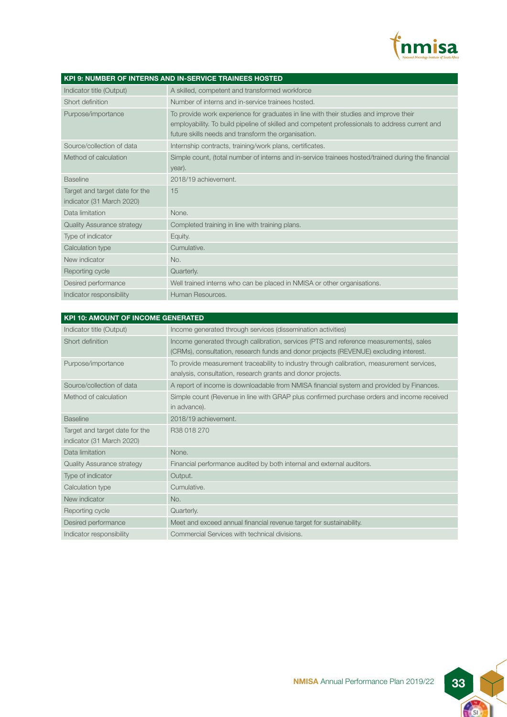

|                                                             | KPI 9: NUMBER OF INTERNS AND IN-SERVICE TRAINEES HOSTED                                                                                                                                                                                        |
|-------------------------------------------------------------|------------------------------------------------------------------------------------------------------------------------------------------------------------------------------------------------------------------------------------------------|
| Indicator title (Output)                                    | A skilled, competent and transformed workforce                                                                                                                                                                                                 |
| Short definition                                            | Number of interns and in-service trainees hosted.                                                                                                                                                                                              |
| Purpose/importance                                          | To provide work experience for graduates in line with their studies and improve their<br>employability. To build pipeline of skilled and competent professionals to address current and<br>future skills needs and transform the organisation. |
| Source/collection of data                                   | Internship contracts, training/work plans, certificates.                                                                                                                                                                                       |
| Method of calculation                                       | Simple count, (total number of interns and in-service trainees hosted/trained during the financial<br>year).                                                                                                                                   |
| <b>Baseline</b>                                             | 2018/19 achievement.                                                                                                                                                                                                                           |
| Target and target date for the<br>indicator (31 March 2020) | 15                                                                                                                                                                                                                                             |
| Data limitation                                             | None.                                                                                                                                                                                                                                          |
| Quality Assurance strategy                                  | Completed training in line with training plans.                                                                                                                                                                                                |
| Type of indicator                                           | Equity.                                                                                                                                                                                                                                        |
| Calculation type                                            | Cumulative.                                                                                                                                                                                                                                    |
| New indicator                                               | No.                                                                                                                                                                                                                                            |
| Reporting cycle                                             | Quarterly.                                                                                                                                                                                                                                     |
| Desired performance                                         | Well trained interns who can be placed in NMISA or other organisations.                                                                                                                                                                        |
| Indicator responsibility                                    | Human Resources.                                                                                                                                                                                                                               |

| <b>KPI 10: AMOUNT OF INCOME GENERATED</b>                   |                                                                                                                                                                                 |
|-------------------------------------------------------------|---------------------------------------------------------------------------------------------------------------------------------------------------------------------------------|
| Indicator title (Output)                                    | Income generated through services (dissemination activities)                                                                                                                    |
| Short definition                                            | Income generated through calibration, services (PTS and reference measurements), sales<br>(CRMs), consultation, research funds and donor projects (REVENUE) excluding interest. |
| Purpose/importance                                          | To provide measurement traceability to industry through calibration, measurement services,<br>analysis, consultation, research grants and donor projects.                       |
| Source/collection of data                                   | A report of income is downloadable from NMISA financial system and provided by Finances.                                                                                        |
| Method of calculation                                       | Simple count (Revenue in line with GRAP plus confirmed purchase orders and income received<br>in advance).                                                                      |
| <b>Baseline</b>                                             | 2018/19 achievement.                                                                                                                                                            |
| Target and target date for the<br>indicator (31 March 2020) | R38 018 270                                                                                                                                                                     |
| Data limitation                                             | None.                                                                                                                                                                           |
| <b>Quality Assurance strategy</b>                           | Financial performance audited by both internal and external auditors.                                                                                                           |
| Type of indicator                                           | Output.                                                                                                                                                                         |
| Calculation type                                            | Cumulative.                                                                                                                                                                     |
| New indicator                                               | No.                                                                                                                                                                             |
| Reporting cycle                                             | Quarterly.                                                                                                                                                                      |
| Desired performance                                         | Meet and exceed annual financial revenue target for sustainability.                                                                                                             |
| Indicator responsibility                                    | Commercial Services with technical divisions.                                                                                                                                   |

 $f(s)$ 

ì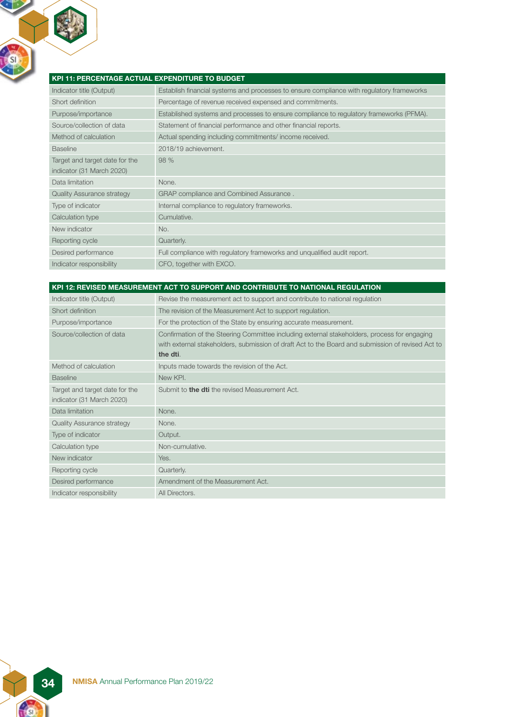Œ

SI

| Indicator title (Output)          | Establish financial systems and processes to ensure compliance with regulatory frameworks |
|-----------------------------------|-------------------------------------------------------------------------------------------|
| Short definition                  | Percentage of revenue received expensed and commitments.                                  |
| Purpose/importance                | Established systems and processes to ensure compliance to regulatory frameworks (PFMA).   |
| Source/collection of data         | Statement of financial performance and other financial reports.                           |
| Method of calculation             | Actual spending including commitments/income received.                                    |
| <b>Baseline</b>                   | 2018/19 achievement.                                                                      |
| Target and target date for the    | 98 %                                                                                      |
| indicator (31 March 2020)         |                                                                                           |
|                                   |                                                                                           |
| Data limitation                   | None.                                                                                     |
| <b>Quality Assurance strategy</b> | GRAP compliance and Combined Assurance.                                                   |
| Type of indicator                 | Internal compliance to regulatory frameworks.                                             |
| Calculation type                  | Cumulative.                                                                               |
| New indicator                     | No.                                                                                       |
| Reporting cycle                   | Quarterly.                                                                                |
| Desired performance               | Full compliance with regulatory frameworks and ungualified audit report.                  |

| KPI 12: REVISED MEASUREMENT ACT TO SUPPORT AND CONTRIBUTE TO NATIONAL REGULATION |                                                                                                                                                                                                               |
|----------------------------------------------------------------------------------|---------------------------------------------------------------------------------------------------------------------------------------------------------------------------------------------------------------|
| Indicator title (Output)                                                         | Revise the measurement act to support and contribute to national regulation                                                                                                                                   |
| Short definition                                                                 | The revision of the Measurement Act to support regulation.                                                                                                                                                    |
| Purpose/importance                                                               | For the protection of the State by ensuring accurate measurement.                                                                                                                                             |
| Source/collection of data                                                        | Confirmation of the Steering Committee including external stakeholders, process for engaging<br>with external stakeholders, submission of draft Act to the Board and submission of revised Act to<br>the dti. |
| Method of calculation                                                            | Inputs made towards the revision of the Act.                                                                                                                                                                  |
| <b>Baseline</b>                                                                  | New KPI.                                                                                                                                                                                                      |
| Target and target date for the<br>indicator (31 March 2020)                      | Submit to <b>the dti</b> the revised Measurement Act.                                                                                                                                                         |
| Data limitation                                                                  | None.                                                                                                                                                                                                         |
| <b>Quality Assurance strategy</b>                                                | None.                                                                                                                                                                                                         |
| Type of indicator                                                                | Output.                                                                                                                                                                                                       |
| Calculation type                                                                 | Non-cumulative.                                                                                                                                                                                               |
| New indicator                                                                    | Yes.                                                                                                                                                                                                          |
| Reporting cycle                                                                  | Quarterly.                                                                                                                                                                                                    |
| Desired performance                                                              | Amendment of the Measurement Act.                                                                                                                                                                             |
| Indicator responsibility                                                         | All Directors.                                                                                                                                                                                                |

**34 NMISA** Annual Performance Plan 2019/22

**Ash**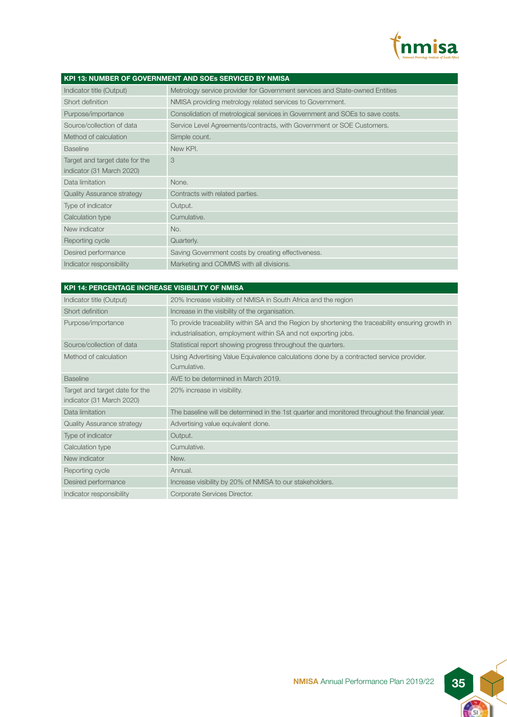

#### KPI 13: NUMBER OF GOVERNMENT AND SOEs SERVICED BY NMISA

| Indicator title (Output)                                    | Metrology service provider for Government services and State-owned Entities  |
|-------------------------------------------------------------|------------------------------------------------------------------------------|
| Short definition                                            | NMISA providing metrology related services to Government.                    |
| Purpose/importance                                          | Consolidation of metrological services in Government and SOEs to save costs. |
| Source/collection of data                                   | Service Level Agreements/contracts, with Government or SOE Customers.        |
| Method of calculation                                       | Simple count.                                                                |
| <b>Baseline</b>                                             | New KPI.                                                                     |
| Target and target date for the<br>indicator (31 March 2020) | 3                                                                            |
| Data limitation                                             | None.                                                                        |
| <b>Quality Assurance strategy</b>                           | Contracts with related parties.                                              |
| Type of indicator                                           | Output.                                                                      |
| Calculation type                                            | Cumulative.                                                                  |
| New indicator                                               | No.                                                                          |
| Reporting cycle                                             | Quarterly.                                                                   |
| Desired performance                                         | Saving Government costs by creating effectiveness.                           |
| Indicator responsibility                                    | Marketing and COMMS with all divisions.                                      |

| <b>KPI 14: PERCENTAGE INCREASE VISIBILITY OF NMISA</b> |                                                                                                        |
|--------------------------------------------------------|--------------------------------------------------------------------------------------------------------|
| Indicator title (Output)                               | 20% Increase visibility of NMISA in South Africa and the region                                        |
| Short definition                                       | Increase in the visibility of the organisation.                                                        |
| Purpose/importance                                     | To provide traceability within SA and the Region by shortening the traceability ensuring growth in     |
|                                                        | industrialisation, employment within SA and not exporting jobs.                                        |
| Source/collection of data                              | Statistical report showing progress throughout the quarters.                                           |
| Method of calculation                                  | Using Advertising Value Equivalence calculations done by a contracted service provider.<br>Cumulative. |
| <b>Baseline</b>                                        | AVE to be determined in March 2019.                                                                    |
| Target and target date for the                         | 20% increase in visibility.                                                                            |
| indicator (31 March 2020)                              |                                                                                                        |
| Data limitation                                        | The baseline will be determined in the 1st quarter and monitored throughout the financial year.        |
| <b>Quality Assurance strategy</b>                      | Advertising value equivalent done.                                                                     |
| Type of indicator                                      | Output.                                                                                                |
| Calculation type                                       | Cumulative.                                                                                            |
| New indicator                                          | New.                                                                                                   |
| Reporting cycle                                        | Annual.                                                                                                |
| Desired performance                                    | Increase visibility by 20% of NMISA to our stakeholders.                                               |
| Indicator responsibility                               | Corporate Services Director.                                                                           |

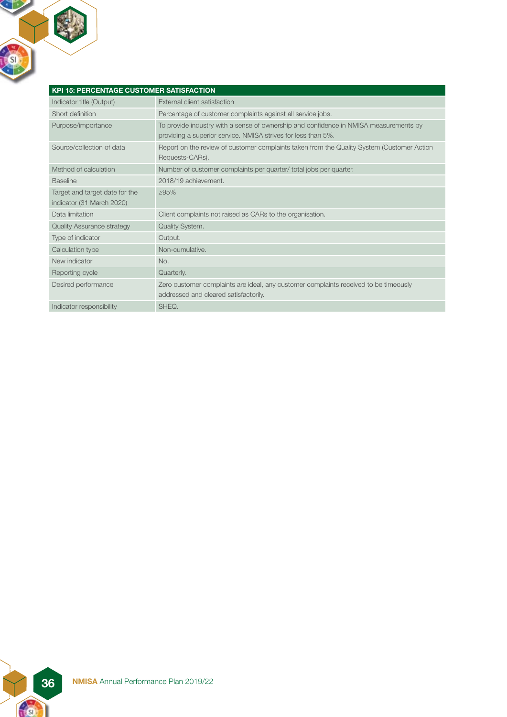| <b>KPI 15: PERCENTAGE CUSTOMER SATISFACTION</b>             |                                                                                                                                                        |
|-------------------------------------------------------------|--------------------------------------------------------------------------------------------------------------------------------------------------------|
| Indicator title (Output)                                    | External client satisfaction                                                                                                                           |
| Short definition                                            | Percentage of customer complaints against all service jobs.                                                                                            |
| Purpose/importance                                          | To provide industry with a sense of ownership and confidence in NMISA measurements by<br>providing a superior service. NMISA strives for less than 5%. |
| Source/collection of data                                   | Report on the review of customer complaints taken from the Quality System (Customer Action<br>Requests-CARs).                                          |
| Method of calculation                                       | Number of customer complaints per quarter/total jobs per quarter.                                                                                      |
| <b>Baseline</b>                                             | 2018/19 achievement.                                                                                                                                   |
| Target and target date for the<br>indicator (31 March 2020) | >95%                                                                                                                                                   |
| Data limitation                                             | Client complaints not raised as CARs to the organisation.                                                                                              |
| <b>Quality Assurance strategy</b>                           | <b>Quality System.</b>                                                                                                                                 |
| Type of indicator                                           | Output.                                                                                                                                                |
| Calculation type                                            | Non-cumulative.                                                                                                                                        |
| New indicator                                               | No.                                                                                                                                                    |
| Reporting cycle                                             | Quarterly.                                                                                                                                             |
| Desired performance                                         | Zero customer complaints are ideal, any customer complaints received to be timeously<br>addressed and cleared satisfactorily.                          |
| Indicator responsibility                                    | SHEQ.                                                                                                                                                  |

491

 $\mathbf{q}$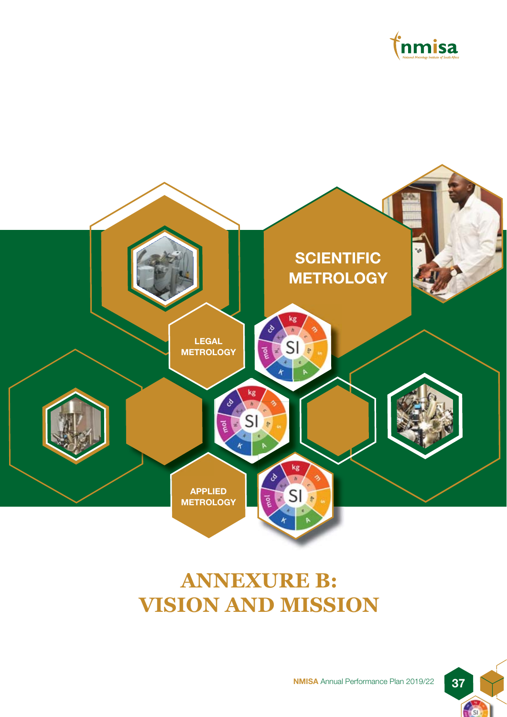



## **ANNEXURE B: VISION AND MISSION**

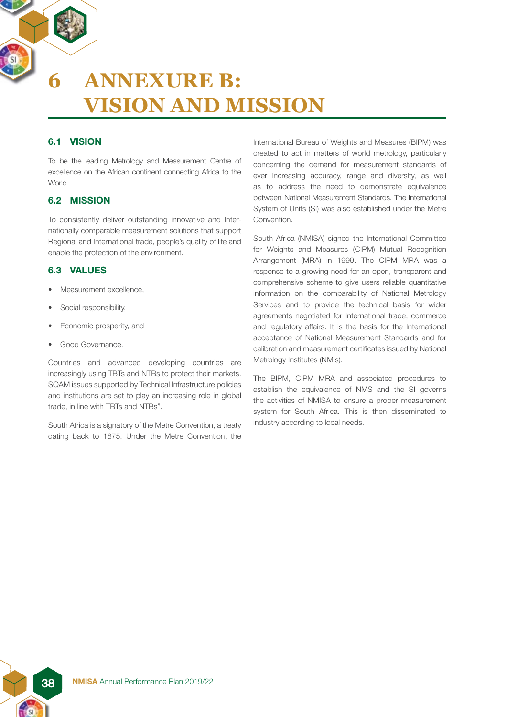## **6 ANNEXURE B: VISION AND MISSION**

#### 6.1 VISION

To be the leading Metrology and Measurement Centre of excellence on the African continent connecting Africa to the World.

#### 6.2 MISSION

To consistently deliver outstanding innovative and Internationally comparable measurement solutions that support Regional and International trade, people's quality of life and enable the protection of the environment.

#### 6.3 VALUES

- Measurement excellence.
- Social responsibility,
- Economic prosperity, and
- Good Governance.

Countries and advanced developing countries are increasingly using TBTs and NTBs to protect their markets. SQAM issues supported by Technical Infrastructure policies and institutions are set to play an increasing role in global trade, in line with TBTs and NTBs".

South Africa is a signatory of the Metre Convention, a treaty dating back to 1875. Under the Metre Convention, the

International Bureau of Weights and Measures (BIPM) was created to act in matters of world metrology, particularly concerning the demand for measurement standards of ever increasing accuracy, range and diversity, as well as to address the need to demonstrate equivalence between National Measurement Standards. The International System of Units (SI) was also established under the Metre Convention.

South Africa (NMISA) signed the International Committee for Weights and Measures (CIPM) Mutual Recognition Arrangement (MRA) in 1999. The CIPM MRA was a response to a growing need for an open, transparent and comprehensive scheme to give users reliable quantitative information on the comparability of National Metrology Services and to provide the technical basis for wider agreements negotiated for International trade, commerce and regulatory affairs. It is the basis for the International acceptance of National Measurement Standards and for calibration and measurement certificates issued by National Metrology Institutes (NMIs).

The BIPM, CIPM MRA and associated procedures to establish the equivalence of NMS and the SI governs the activities of NMISA to ensure a proper measurement system for South Africa. This is then disseminated to industry according to local needs.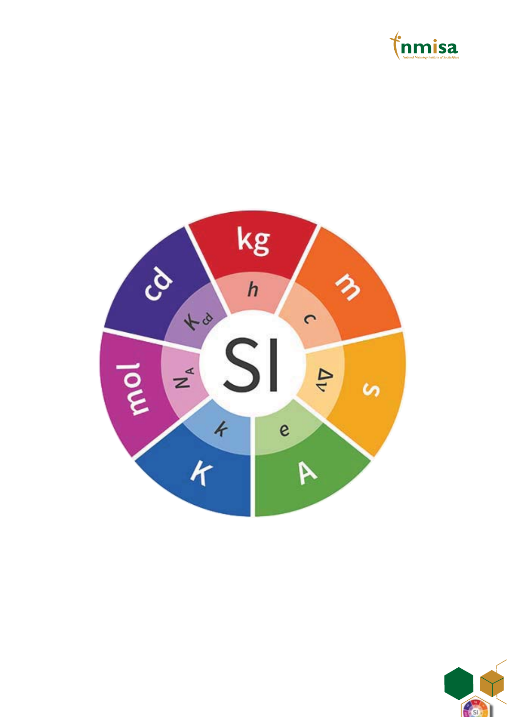